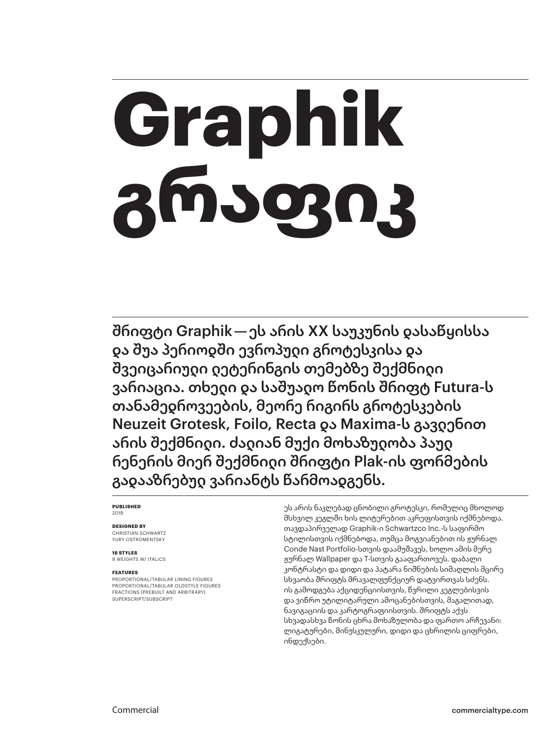# **Graphik გრაფიკ**

შრიფტი Graphik — ეს არის XX საუკუნის დასაწყისსა და შუა პერიოდში ევროპული გროტესკისა და შვეიცარიული ლეტერინგის თემებზე შექმნილი ვარიაცია. თხელი და საშუალო წონის შრიფტ Futura-ს თანამედროვეების, მეორე რიგირს გროტესკების Neuzeit Grotesk, Foilo, Recta და Maxima-ს გავდენით არის შექმნილი. ძალიან მუქი მოხაზულობა პაულ რენერის მიერ შექმნილი შრიფტი Plak-ის ფორმების გადააზრებულ ვარიანტს წარმოადგენს.

### **PUBLISHED** 2019

### **DESIGNED BY**

CHRISTIAN SCHWARTZ YURY OSTROMENTSKY

**18 STYLES** 9 WEIGHTS W/ ITALICS

### **FEATURES**

PROPORTIONAL/TABULAR LINING FIGURES PROPORTIONAL/TABULAR OLDSTYLE FIGURES FRACTIONS (PREBUILT AND ARBITRARY) SUPERSCRIPT/SUBSCRIPT

ეს არის ნაკლებად ცნობილი გროტესკი, რომელიც მხოლოდ მსხვილ კეგლში ხის ლიტერებით აკრეფისთვის იქმნებოდა. თავდაპირველად Graphik-ი Schwartzco Inc.-ს საფირმო სტილისთვის იქმნებოდა, თუმცა მოგვიანებით ის ჟურნალ Conde Nast Portfolio-სთვის დაამუშავეს, ხოლო ამის მერე ჟურნალ Wallpaper და T-სთვის გააფართოვეს. დაბალი კონტრასტი და დიდი და პატარა ნიშნების სიმაღლის მცირე სხვაობა შრიფტს მრავალფუნქციურ დატვირთვას სძენს. ის გამოდგება აქციდენციისთვის, წვრილი კეგლებისვის და ვიწრო უტილიტარული ამოცანებისთვის, მაგალითად, ნავიგაციის და კარტოგრაფიისთვის. შრიფტს აქვს სხვადასხვა წონის ცხრა მოხაზულობა და ფართო არჩევანი: ლიგატურები, მინუსკულური, დიდი და ცხრილის ციფრები, ინდექსები.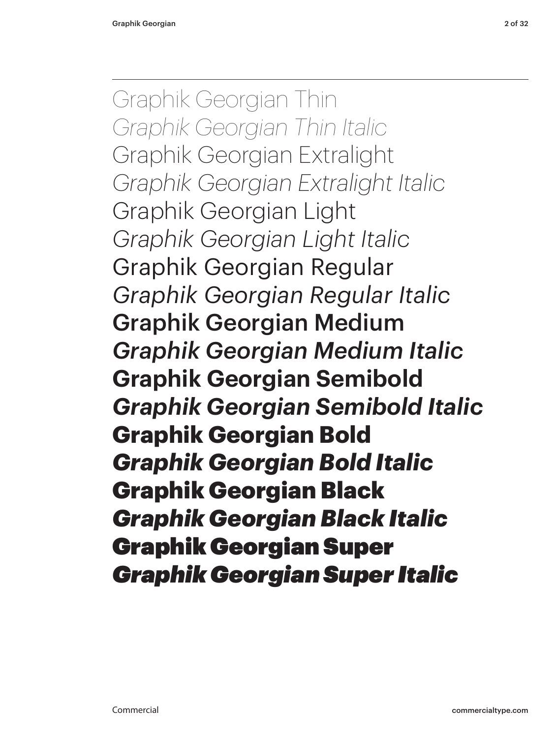Graphik Georgian Thin *Graphik Georgian Thin Italic* Graphik Georgian Extralight *Graphik Georgian Extralight Italic* Graphik Georgian Light *Graphik Georgian Light Italic* Graphik Georgian Regular *Graphik Georgian Regular Italic* Graphik Georgian Medium *Graphik Georgian Medium Italic* **Graphik Georgian Semibold** *Graphik Georgian Semibold Italic* **Graphik Georgian Bold** *Graphik Georgian Bold Italic* Graphik Georgian Black *Graphik Georgian Black Italic* Graphik Georgian Super *Graphik Georgian Super Italic*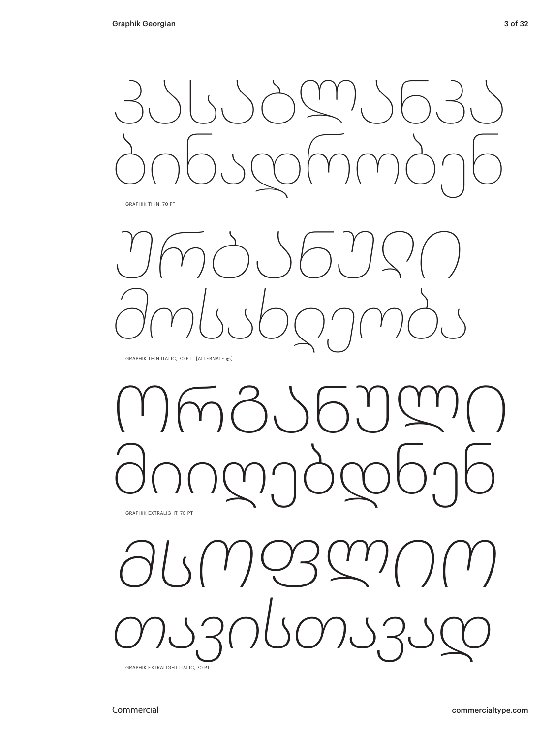

GRAPHIK THIN, 70 PT



GRAPHIK THIN ITALIC, 70 PT [ALTERNATE ლ]

ორგანული მიიღებდნენ GRAPHIK EXTRALIGHT, 70 PT

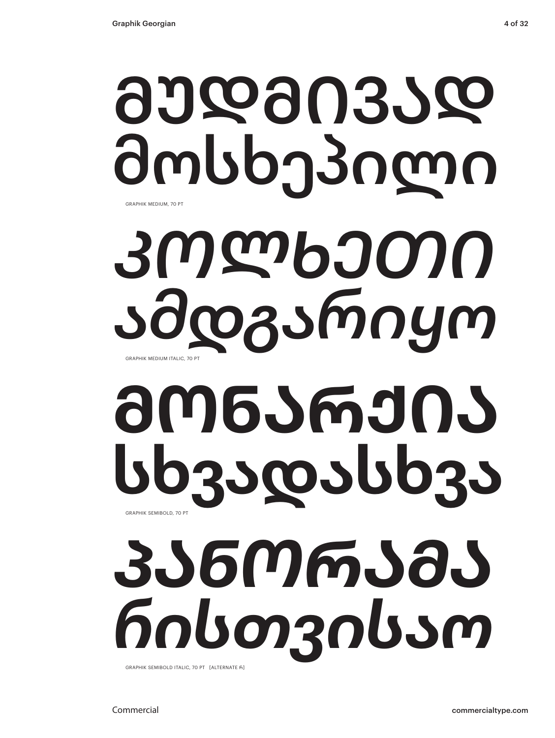# მუდმივად მოსხეპილი *კოლხეთი ამდგარიყო* GRAPHIK MEDIUM, 70 PT

GRAPHIK MEDIUM ITALIC, 70 PT

## **მონარქია სხვადასხვა** GRAPHIK SEMIBOLD, 70 PT

*პანორამა რისთვისაო*

GRAPHIK SEMIBOLD ITALIC, 70 PT [ALTERNATE რ]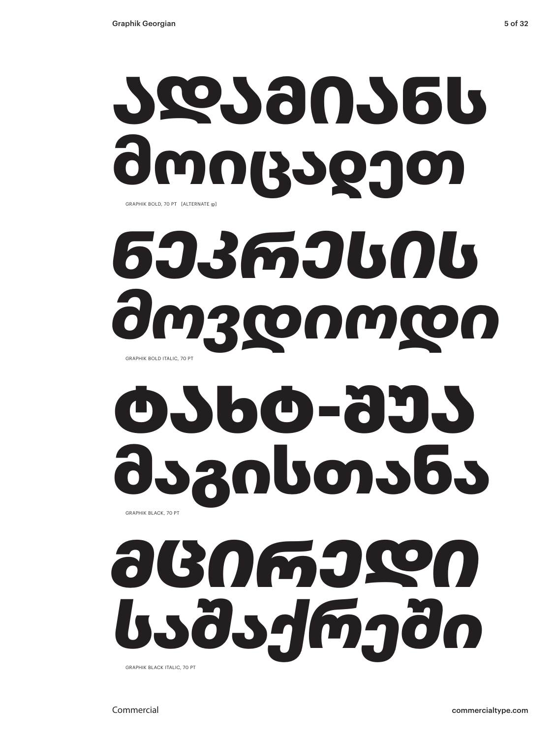

### *ნეკრესის მოვდიოდი* GRAPHIK BOLD ITALIC, 70 PT

### ტახტ-შუა მაგისთანა GRAPHIK BLACK, 70 PT

### *მცირედი საშაქრეში* GRAPHIK BLACK ITALIC, 70 PT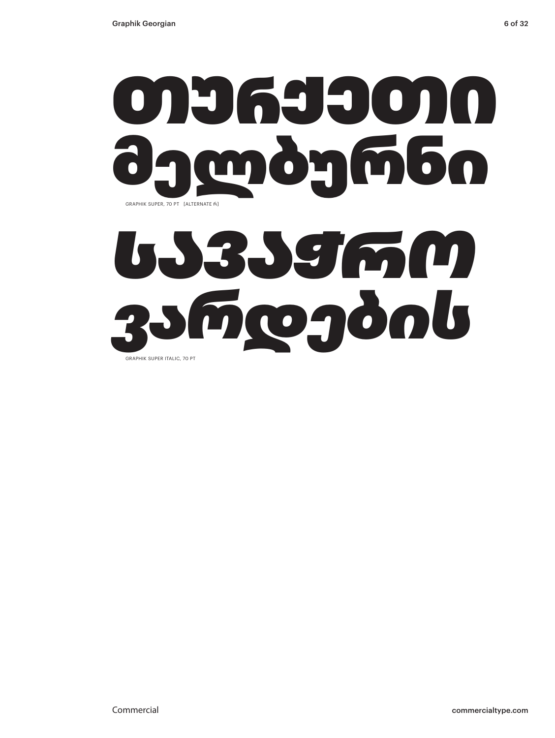

# *სავაჭრო ვარდების*

GRAPHIK SUPER ITALIC, 70 PT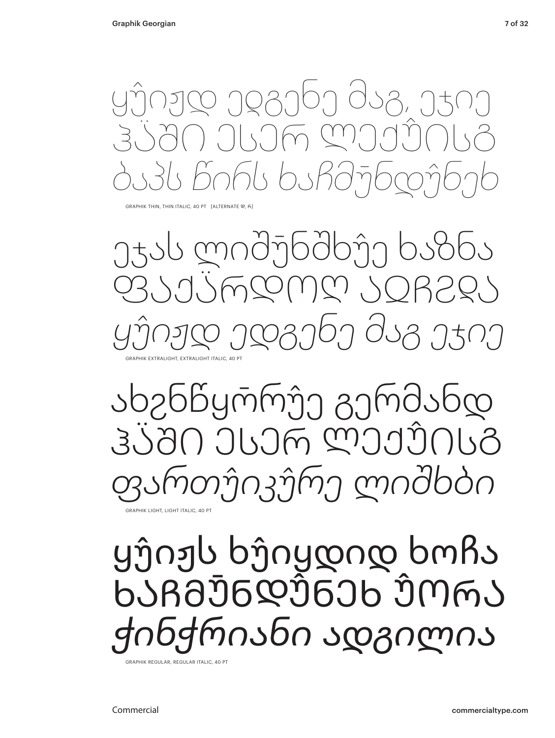

GRAPHIK THIN, THIN ITALIC, 40 PT [ALTERNATE (Φ, რ)

ეჯას ლიშუ̄ნშხუ̂ე ხაზნა ფაქა̈რდოღ აჲჩჷᲓა *ყუ̂იჟდ ედგენე მაგ ეჯიე* GRAPHIK EXTRALIGHT, EXTRALIGHT ITALIC, 40 PT

ახჷნწყო̄რუ̂ე გერმანდ ჰა̈ში ესერ ლექუ̂ისგ *ფართუ̂იკუ̂რე ლიშხბი*

GRAPHIK LIGHT, LIGHT ITALIC, 40 PT

### ყუ̂იჟს ხუ̂იყდიდ ხოჩა ხაჩმუ̄ნდუ̂ნეხ უ̂ორა *ჭინჭრიანი ადგილია*

GRAPHIK REGULAR, REGULAR ITALIC, 40 PT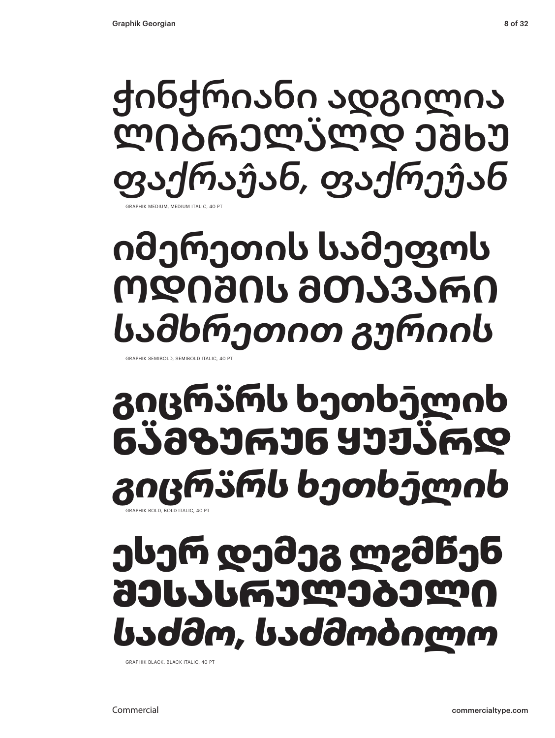GRAPHIK MEDIUM, MEDIUM ITALIC, 40 PT ჭინჭრიანი ადგილია ლიბრელა̈ლდ ეშხუ *ფაქრაუ̂ან, ფაქრეუ̂ან*

### **იმერეთის სამეფოს ოდიშის მთავარი** *სამხრეთით გურიის*

GRAPHIK SEMIBOLD, SEMIBOLD ITALIC, 40 P

### **გიცრა̈რს ხეთხე̄ლიხ ნა̈მზურუნ ყუჟა̈რდ** *გიცრა̈რს ხეთხე̄ლიხ* HIK BOLD, BOLD ITALIC, 40 PT

### ესერ დემეგ ლჷმწენ შესასრულებელი *საძმო, საძმობილო*

GRAPHIK BLACK, BLACK ITALIC, 40 PT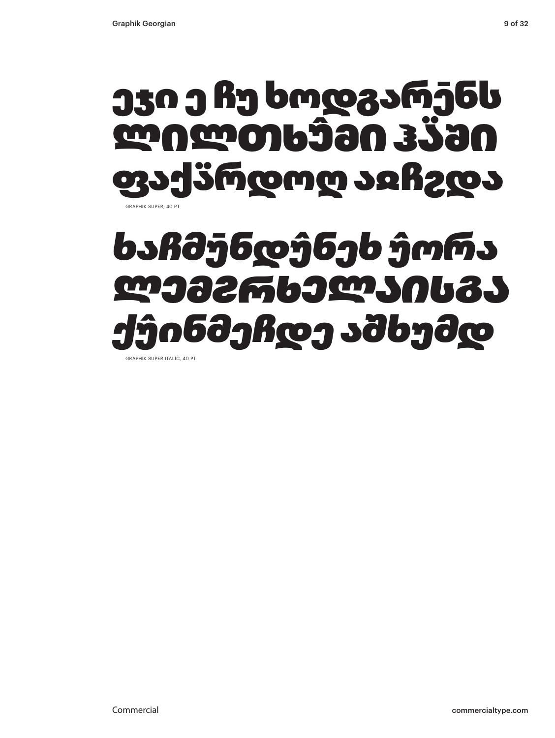### GRAPHIK SUPER, 40 PT ეჯი ე ჩუ ხოდგარე̄ნს ლილთხუ̂მი ჰა̈ში ფაქა̈რდოღ აჲჩჷდა

### *ხაჩმუ̄ნდუ̂ნეხ უ̂ორა ლემჷრხელაისგა ქუ̂ინმეჩდე აშხუმდ*

GRAPHIK SUPER ITALIC, 40 PT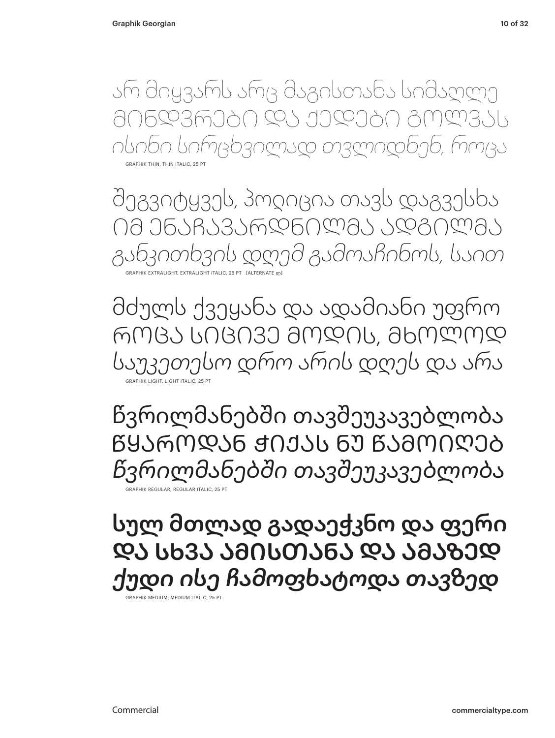არ მიყვარს არც მაგისთანა სიმაღლე მინდვრები და ქედები გოლვას *ისინი სირცხვილად თვლიდნენ, როცა*

GRAPHIK THIN, THIN ITALIC, 25 PT

შეგვიტყვეს, პოლიცია თავს დაგვესხა იმ ენაჩავარდნილმა ადგილმა *განკითხვის დღემ გამოაჩინოს, საით* GRAPHIK EXTRALIGHT, EXTRALIGHT ITALIC, 25 PT [ALTERNATE ლ]

მძულს ქვეყანა და ადამიანი უფრო როცა სიცივე მოდის, მხოლოდ *საუკეთესო დრო არის დღეს და არა* GRAPHIK LIGHT, LIGHT ITALIC, 25 PT

წვრილმანებში თავშეუკავებლობა წყაროდან ჭიქას ნუ წამოიღებ *წვრილმანებში თავშეუკავებლობა* GRAPHIK REGULAR, REGULAR ITALIC, 25 PT

სულ მთლად გადაეჭკნო და ფერი და სხვა ამისთანა და ამაზედ *ქუდი ისე ჩამოფხატოდა თავზედ*

GRAPHIK MEDIUM, MEDIUM ITALIC, 25 PT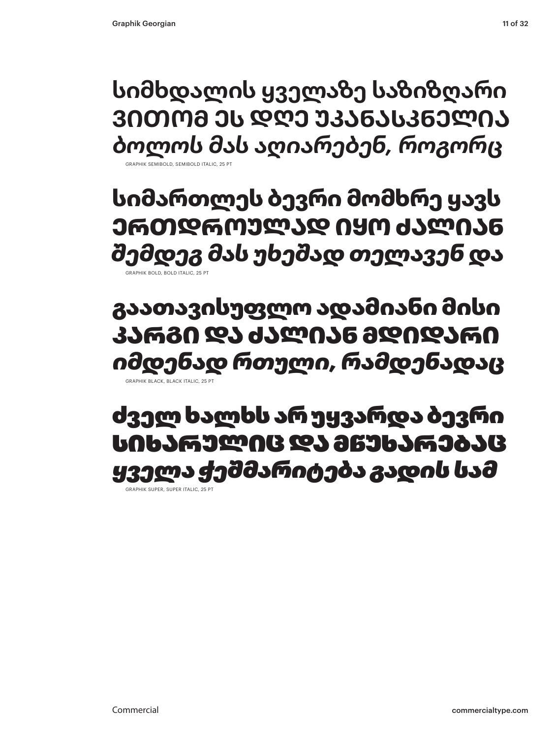**სიმხდალის ყველაზე საზიზღარი ვითომ ეს დღე უკანასკნელია** *ბოლოს მას აღიარებენ, როგორც*

GRAPHIK SEMIBOLD, SEMIBOLD ITALIC

**სიმართლეს ბევრი მომხრე ყავს ერთდროულად იყო ძალიან** *შემდეგ მას უხეშად თელავენ და* **GRAPHIK BOLD, BOLD ITALIC, 25 PT** 

გაათავისუფლო ადამიანი მისი კარგი და ძალიან მდიდარი *იმდენად რთული, რამდენადაც* GRAPHIK BLACK, BLACK ITALIC, 25 PT

### ძველ ხალხს არ უყვარდა ბევრი სიხარულიც და მწუხარებაც *ყველა ჭეშმარიტება გადის სამ*

GRAPHIK SUPER, SUPER ITALIC, 25 P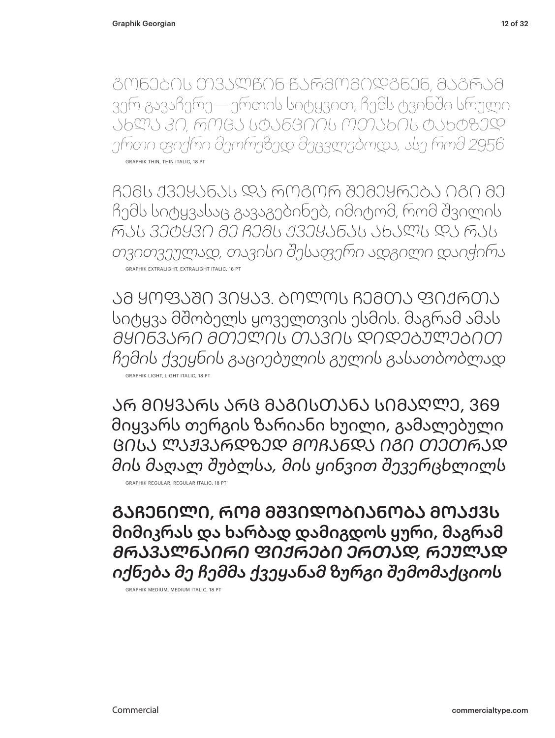გონების თვალწინ წარმომიდგნენ, მაგრამ ვერ გავაჩერე — ერთის სიტყვით, ჩემს ტვინში სრული *ახლა კი, როცა სტანციის ოთახის ტახტზედ ერთი ფიქრი მეორეზედ მეცვლებოდა, ასე რომ 2956* GRAPHIK THIN, THIN ITALIC, 18 PT

ჩემს ქვეყანას და როგორ შემეყრება იგი მე ჩემს სიტყვასაც გავაგებინებ, იმიტომ, რომ შვილის *რას ვეტყვი მე ჩემს ქვეყანას ახალს და რას თვითვეულად, თავისი შესაფერი ადგილი დაიჭირა* GRAPHIK EXTRALIGHT, EXTRALIGHT ITALIC, 18 PT

ამ ყოფაში ვიყავ. ბოლოს ჩემთა ფიქრთა სიტყვა მშობელს ყოველთვის ესმის. მაგრამ ამას *მყინვარი მთელის თავის დიდებულებით ჩემის ქვეყნის გაციებულის გულის გასათბობლად* GRAPHIK LIGHT, LIGHT ITALIC, 18 PT

არ მიყვარს არც მაგისთანა სიმაღლე, 369 მიყვარს თერგის ზარიანი ხუილი, გამალებული *ცისა ლაჟვარდზედ მოჩანდა იგი თეთრად მის მაღალ შუბლსა, მის ყინვით შევერცხლილს* GRAPHIK REGULAR, REGULAR ITALIC, 18 PT

გაჩენილი, რომ მშვიდობიანობა მოაქვს მიმიკრას და ხარბად დამიგდოს ყური, მაგრამ *მრავალნაირი ფიქრები ერთად, რეულად იქნება მე ჩემმა ქვეყანამ ზურგი შემომაქციოს*

GRAPHIK MEDIUM, MEDIUM ITALIC, 18 PT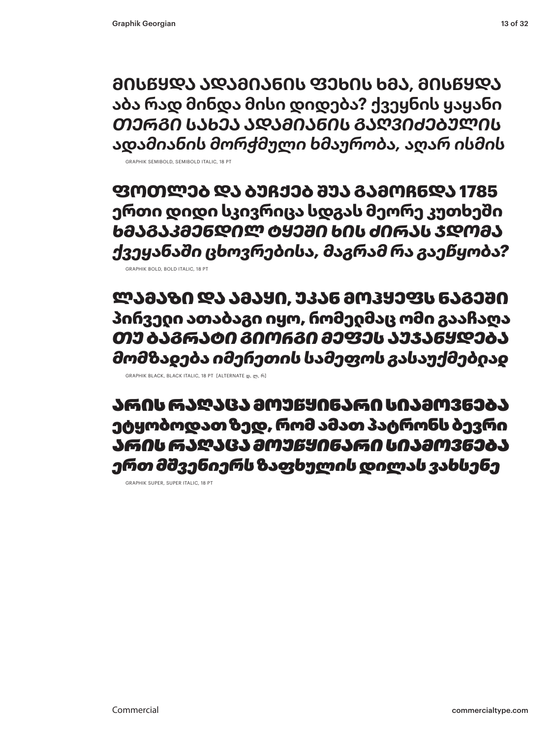**მისწყდა ადამიანის ფეხის ხმა, მისწყდა აბა რად მინდა მისი დიდება? ქვეყნის ყაყანი** *თერგი სახეა ადამიანის გაღვიძებულის ადამიანის მორჭმული ხმაურობა, აღარ ისმის* GRAPHIK SEMIBOLD, SEMIBOLD ITALIC, 18 PT

**ფოთლებ და ბუჩქებ შუა გამოჩნდა 1785 ერთი დიდი სკივრიცა სდგას მეორე კუთხეში** *ხმაგაკმენდილ ტყეში ხის ძირას ჯდომა ქვეყანაში ცხოვრებისა, მაგრამ რა გაეწყობა?*

GRAPHIK BOLD, BOLD ITALIC, 18 PT

ლამაზი და ამაყი, უკან მოჰყეფს ნაგეში პირველი ათაბაგი იყო, რომელმაც ომი გააჩაღა *თუ ბაგრატი გიოᲠგი მეფეს აუჯანყდება მომზადება იმერეთის სამეფოს გასაუქმებლად*

GRAPHIK BLACK, BLACK ITALIC, 18 PT [ALTERNATE დ, ლ, რ]

არის რაღაცა მოუწყინარი სიამოვნება ეტყობოდათ ზედ, რომ ამათ პატრონს ბევრი *არის რაღაცა მოუწყინარი სიამოვნება ერთ მშვენიერს ზაფხულის დილას ვახსენე* 

GRAPHIK SUPER, SUPER ITALIC, 18 PT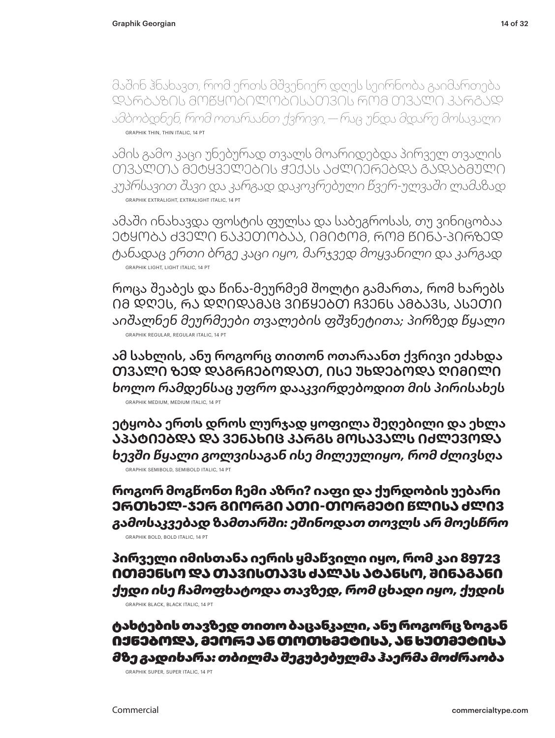მაშინ ჰნახავთ, რომ ერთს მშვენიერ დღეს სეირნობა გაიმართება დარბაზის მოწყობილობისათვის რომ თვალი კარგად *ამბობდნენ, რომ ოთარაანთ ქვრივი, — რაც უნდა მდარე მოსავალი* GRAPHIK THIN, THIN ITALIC, 14 PT

ამის გამო კაცი უნებურად თვალს მოარიდებდა პირველ თვალის თვალთა მეტყველების ჭექას აძლიერებდა გადაბმული *კუპრსავით შავი და კარგად დაკოკრებული წვერ-ულვაში ლამაზად* GRAPHIK EXTRALIGHT, EXTRALIGHT ITALIC, 14 PT

ამაში ინახავდა ფოსტის ფულსა და საბეგროსას, თუ ვინიცობაა ეტყობა ძველი ნაკეთობაა, იმიტომ, რომ წინა-პირზედ *ტანადაც ერთი ბრგე კაცი იყო, მარჯვედ მოყვანილი და კარგად* GRAPHIK LIGHT, LIGHT ITALIC, 14 PT

როცა შეაბეს და წინა-მეურმემ შოლტი გამართა, რომ ხარებს იმ დღეს, რა დღიდამაც ვიწყებთ ჩვენს ამბავს, ასეთი *აიშალნენ მეურმეები თვალების ფშვნეტითა; პირზედ წყალი* GRAPHIK REGULAR, REGULAR ITALIC, 14 PT

ამ სახლის, ანუ როგორც თითონ ოთარაანთ ქვრივი ეძახდა თვალი ზედ დაგრჩებოდათ, ისე უხდებოდა ღიმილი *ხოლო რამდენსაც უფრო დააკვირდებოდით მის პირისახეს* GRAPHIK MEDIUM, MEDIUM ITALIC, 14 PT

**ეტყობა ერთს დროს ლურჯად ყოფილა შეღებილი და ეხლა აპატიებდა და ვენახიც კარგს მოსავალს იძლევოდა** *ხევში წყალი გოლვისაგან ისე მილეულიყო, რომ ძლივსღა* GRAPHIK SEMIBOLD, SEMIBOLD ITALIC, 14 PT

**როგორ მოგწონთ ჩემი აზრი? იაფი და ქურდობის უებარი ერთხელ-ჯერ გიორგი ათი-თორმეტი წლისა ძლივ** *გამოსაკვებად ზამთარში: ეშინოდათ თოვლს არ მოესწრო* GRAPHIK BOLD, BOLD ITALIC, 14 PT

პირველი იმისთანა იერის ყმაწვილი იყო, რომ კაი 89723 ითმენსო და თავისთავს ძალას ატანსო, შინაგანი *ქუდი ისე ჩამოფხატოდა თავზედ, რომ ცხადი იყო, ქუდის* GRAPHIK BLACK, BLACK ITALIC, 14 PT

ტახტების თავზედ თითო ბაცანკალი, ანუ როგორც ზოგან იქნებოდა, მეორე ან თოთხმეტისა, ან ხუთმეტისა *მზე გადიხარა: თბილმა შეგუბებულმა ჰაერმა მოძრაობა*

GRAPHIK SUPER, SUPER ITALIC, 14 PT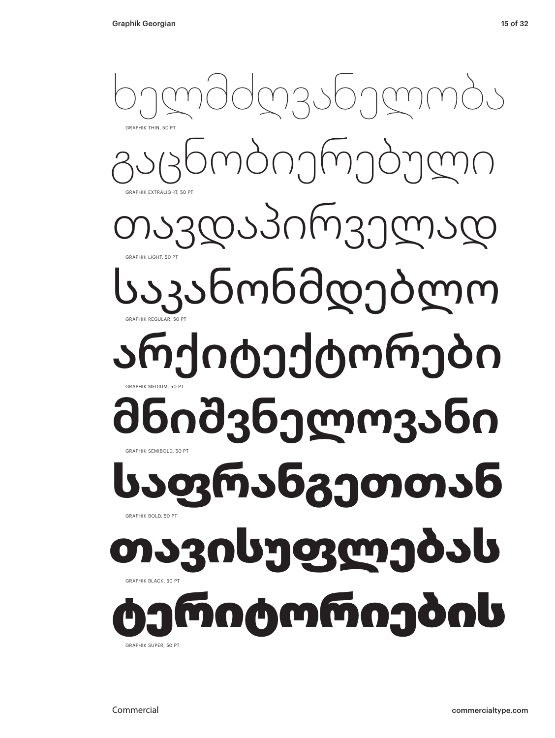

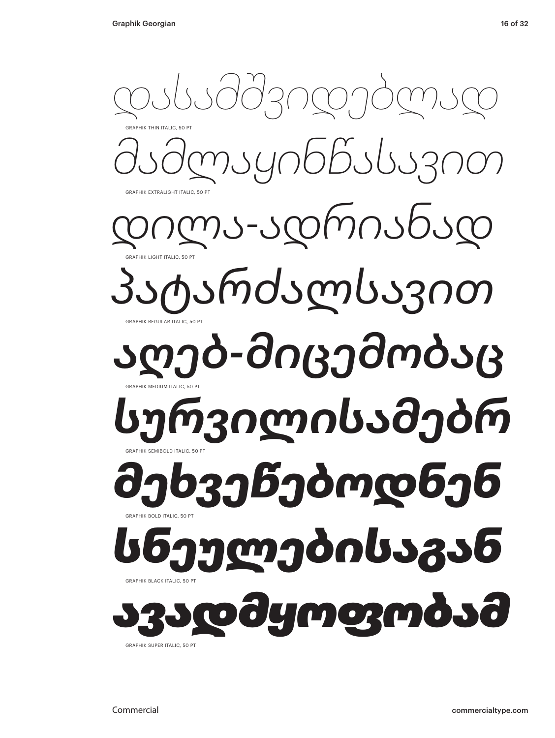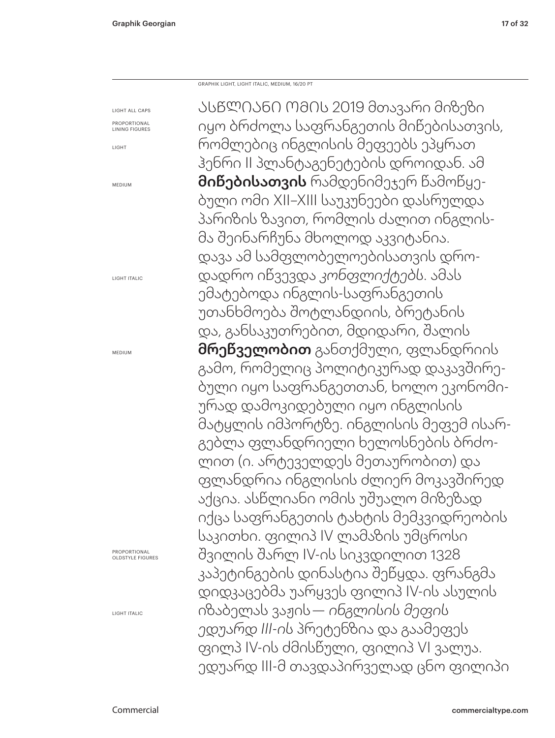GRAPHIK LIGHT, LIGHT ITALIC, MEDIUM, 16/20 PT

LIGHT ALL CAPS LIGHT ITALIC MEDIUM ასწლიანი ომის 2019 მთავარი მიზეზი იყო ბრძოლა საფრანგეთის მიწებისათვის, რომლებიც ინგლისის მეფეებს ეპყრათ ჰენრი II პლანტაგენეტების დროიდან. ამ მიწებისათვის რამდენიმეჯერ წამოწყებული ომი XII–XIII საუკუნეები დასრულდა პარიზის ზავით, რომლის ძალით ინგლისმა შეინარჩუნა მხოლოდ აკვიტანია. დავა ამ სამფლობელოებისათვის დროდადრო იწვევდა *კონფლიქტებს*. ამას ემატებოდა ინგლის-საფრანგეთის უთანხმოება შოტლანდიის, ბრეტანის და, განსაკუთრებით, მდიდარი, შალის მრეწველობით განთქმული, ფლანდრიის გამო, რომელიც პოლიტიკურად დაკავშირებული იყო საფრანგეთთან, ხოლო ეკონომიურად დამოკიდებული იყო ინგლისის მატყლის იმპორტზე. ინგლისის მეფემ ისარგებლა ფლანდრიელი ხელოსნების ბრძოლით (ი. არტეველდეს მეთაურობით) და ფლანდრია ინგლისის ძლიერ მოკავშირედ აქცია. ასწლიანი ომის უშუალო მიზეზად იქცა საფრანგეთის ტახტის მემკვიდრეობის საკითხი. ფილიპ IV ლამაზის უმცროსი შვილის შარლ IV-ის სიკვდილით 1328 კაპეტინგების დინასტია შეწყდა. ფრანგმა დიდკაცებმა უარყვეს ფილიპ IV-ის ასულის იზაბელას ვაჟის — *ინგლისის მეფის ედუარდ III-ის* პრეტენზია და გაამეფეს ფილპ IV-ის ძმისწული, ფილიპ VI ვალუა. ედუარდ III-მ თავდაპირველად ცნო ფილიპი

PROPORTIONAL LINING FIGURES

LIGHT

MEDIUM

PROPORTIONAL OLDSTYLE FIGURES

LIGHT ITALIC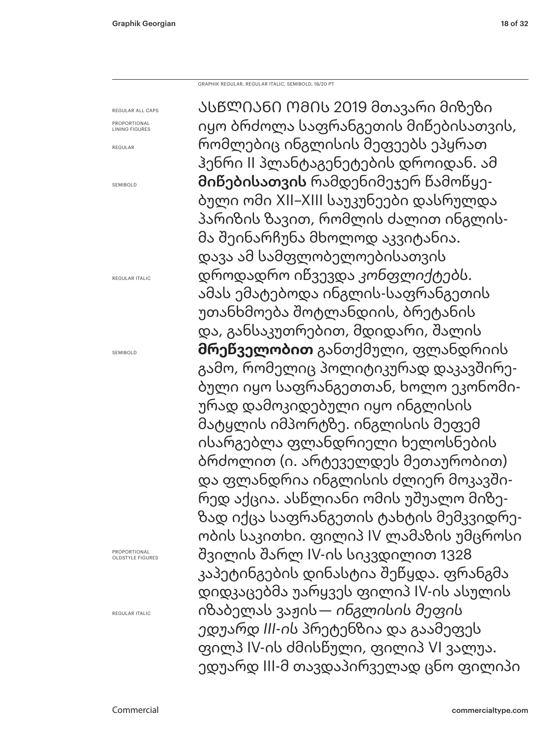GRAPHIK REGULAR, REGULAR ITALIC, SEMIBOLD, 16/20 PT

REGULAR ALL CAPS PROPORTIONAL

LINING FIGURES REGULAR

SEMIBOLD

REGULAR ITALIC

SEMIROLD

PROPORTIONAL OLDSTYLE FIGURES

REGULAR ITALIC

ასწლიანი ომის 2019 მთავარი მიზეზი იყო ბრძოლა საფრანგეთის მიწებისათვის, რომლებიც ინგლისის მეფეებს ეპყრათ ჰენრი II პლანტაგენეტების დროიდან. ამ მიწებისათვის რამდენიმეჯერ წამოწყებული ომი XII–XIII საუკუნეები დასრულდა პარიზის ზავით, რომლის ძალით ინგლისმა შეინარჩუნა მხოლოდ აკვიტანია. დავა ამ სამფლობელოებისათვის დროდადრო იწვევდა *კონფლიქტებს*. ამას ემატებოდა ინგლის-საფრანგეთის უთანხმოება შოტლანდიის, ბრეტანის და, განსაკუთრებით, მდიდარი, შალის **მრეწველობით** განთქმული, ფლანდრიის გამო, რომელიც პოლიტიკურად დაკავშირებული იყო საფრანგეთთან, ხოლო ეკონომიურად დამოკიდებული იყო ინგლისის მატყლის იმპორტზე. ინგლისის მეფემ ისარგებლა ფლანდრიელი ხელოსნების ბრძოლით (ი. არტეველდეს მეთაურობით) და ფლანდრია ინგლისის ძლიერ მოკავშირედ აქცია. ასწლიანი ომის უშუალო მიზეზად იქცა საფრანგეთის ტახტის მემკვიდრეობის საკითხი. ფილიპ IV ლამაზის უმცროსი შვილის შარლ IV-ის სიკვდილით 1328 კაპეტინგების დინასტია შეწყდა. ფრანგმა დიდკაცებმა უარყვეს ფილიპ IV-ის ასულის იზაბელას ვაჟის — *ინგლისის მეფის ედუარდ III-ის* პრეტენზია და გაამეფეს ფილპ IV-ის ძმისწული, ფილიპ VI ვალუა. ედუარდ III-მ თავდაპირველად ცნო ფილიპი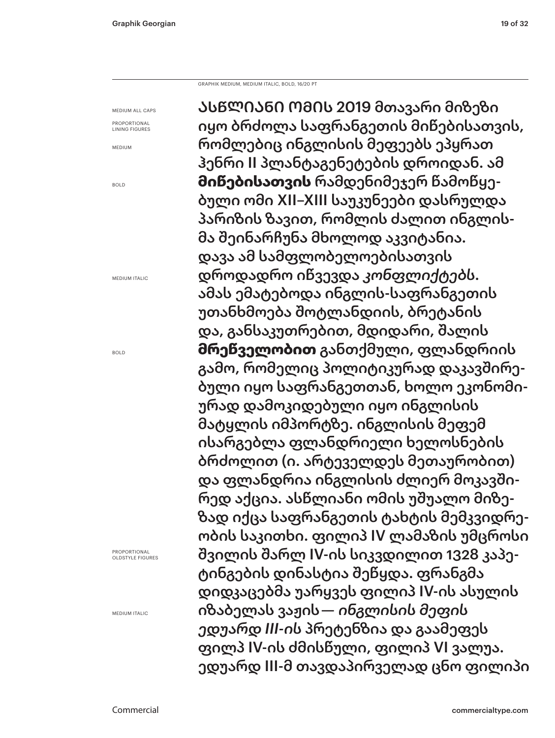GRAPHIK MEDIUM, MEDIUM ITALIC, BOLD, 16/20 PT

MEDIUM ALL CAPS PROPORTIONAL LINING FIGURES

MEDIUM

BOLD

MEDIUM ITALIC

BOLD

PROPORTIONAL OLDSTYLE FIGURES

MEDIUM ITALIC

ასწლიანი ომის 2019 მთავარი მიზეზი იყო ბრძოლა საფრანგეთის მიწებისათვის, რომლებიც ინგლისის მეფეებს ეპყრათ ჰენრი II პლანტაგენეტების დროიდან. ამ **მიწებისათვის** რამდენიმეჯერ წამოწყებული ომი XII–XIII საუკუნეები დასრულდა პარიზის ზავით, რომლის ძალით ინგლისმა შეინარჩუნა მხოლოდ აკვიტანია. დავა ამ სამფლობელოებისათვის დროდადრო იწვევდა *კონფლიქტებს*. ამას ემატებოდა ინგლის-საფრანგეთის უთანხმოება შოტლანდიის, ბრეტანის და, განსაკუთრებით, მდიდარი, შალის **მრეწველობით** განთქმული, ფლანდრიის გამო, რომელიც პოლიტიკურად დაკავშირებული იყო საფრანგეთთან, ხოლო ეკონომიურად დამოკიდებული იყო ინგლისის მატყლის იმპორტზე. ინგლისის მეფემ ისარგებლა ფლანდრიელი ხელოსნების ბრძოლით (ი. არტეველდეს მეთაურობით) და ფლანდრია ინგლისის ძლიერ მოკავშირედ აქცია. ასწლიანი ომის უშუალო მიზეზად იქცა საფრანგეთის ტახტის მემკვიდრეობის საკითხი. ფილიპ IV ლამაზის უმცროსი შვილის შარლ IV-ის სიკვდილით 1328 კაპეტინგების დინასტია შეწყდა. ფრანგმა დიდკაცებმა უარყვეს ფილიპ IV-ის ასულის იზაბელას ვაჟის — *ინგლისის მეფის ედუარდ III-ის* პრეტენზია და გაამეფეს ფილპ IV-ის ძმისწული, ფილიპ VI ვალუა. ედუარდ III-მ თავდაპირველად ცნო ფილიპი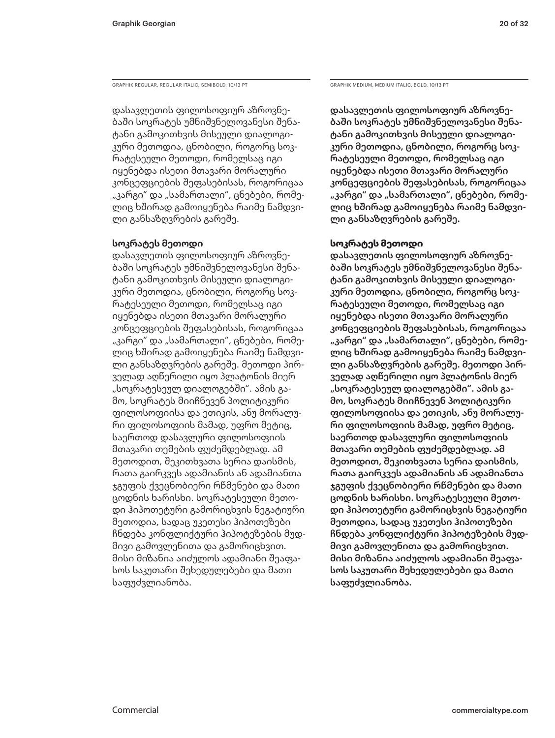GRAPHIK REGULAR, REGULAR ITALIC, SEMIBOLD, 10/13 PT GRAPHIK MEDIUM, MEDIUM, MEDIUM ITALIC, BOLD, 10/13 PT

დასავლეთის ფილოსოფიურ აზროვნებაში სოკრატეს უმნიშვნელოვანესი შენატანი გამოკითხვის მისეული დიალოგიკური მეთოდია, ცნობილი, როგორც სოკრატესეული მეთოდი, რომელსაც იგი იყენებდა ისეთი მთავარი მორალური კონცეფციების შეფასებისას, როგორიცაა "კარგი" და "სამართალი", ცნებები, რომელიც ხშირად გამოიყენება რაიმე ნამდვილი განსაზღვრების გარეშე.

### **სოკრატეს მეთოდი**

დასავლეთის ფილოსოფიურ აზროვნებაში სოკრატეს უმნიშვნელოვანესი შენატანი გამოკითხვის მისეული დიალოგიკური მეთოდია, ცნობილი, როგორც სოკრატესეული მეთოდი, რომელსაც იგი იყენებდა ისეთი მთავარი მორალური კონცეფციების შეფასებისას, როგორიცაა "კარგი" და "სამართალი", ცნებები, რომელიც ხშირად გამოიყენება რაიმე ნამდვილი განსაზღვრების გარეშე. მეთოდი პირველად აღწერილი იყო პლატონის მიერ "სოკრატესეულ დიალოგებში". ამის გამო, სოკრატეს მიიჩნევენ პოლიტიკური ფილოსოფიისა და ეთიკის, ანუ მორალური ფილოსოფიის მამად, უფრო მეტიც, საერთოდ დასავლური ფილოსოფიის მთავარი თემების ფუძემდებლად. ამ მეთოდით, შეკითხვათა სერია დაისმის, რათა გაირკვეს ადამიანის ან ადამიანთა ჯგუფის ქვეცნობიერი რწმენები და მათი ცოდნის ხარისხი. სოკრატესეული მეთოდი ჰიპოთეტური გამორიცხვის ნეგატიური მეთოდია, სადაც უკეთესი ჰიპოთეზები ჩნდება კონფლიქტური ჰიპოტეზების მუდმივი გამოვლენითა და გამორიცხვით. მისი მიზანია აიძულოს ადამიანი შეაფასოს საკუთარი შეხედულებები და მათი საფუძვლიანობა.

დასავლეთის ფილოსოფიურ აზროვნებაში სოკრატეს უმნიშვნელოვანესი შენატანი გამოკითხვის მისეული დიალოგიკური მეთოდია, ცნობილი, როგორც სოკრატესეული მეთოდი, რომელსაც იგი იყენებდა ისეთი მთავარი მორალური კონცეფციების შეფასებისას, როგორიცაა "კარგი" და "სამართალი", ცნებები, რომელიც ხშირად გამოიყენება რაიმე ნამდვილი განსაზღვრების გარეშე.

### **სოკრატეს მეთოდი**

დასავლეთის ფილოსოფიურ აზროვნებაში სოკრატეს უმნიშვნელოვანესი შენატანი გამოკითხვის მისეული დიალოგიკური მეთოდია, ცნობილი, როგორც სოკრატესეული მეთოდი, რომელსაც იგი იყენებდა ისეთი მთავარი მორალური კონცეფციების შეფასებისას, როგორიცაა "კარგი" და "სამართალი", ცნებები, რომელიც ხშირად გამოიყენება რაიმე ნამდვილი განსაზღვრების გარეშე. მეთოდი პირველად აღწერილი იყო პლატონის მიერ "სოკრატესეულ დიალოგებში". ამის გამო, სოკრატეს მიიჩნევენ პოლიტიკური ფილოსოფიისა და ეთიკის, ანუ მორალური ფილოსოფიის მამად, უფრო მეტიც, საერთოდ დასავლური ფილოსოფიის მთავარი თემების ფუძემდებლად. ამ მეთოდით, შეკითხვათა სერია დაისმის, რათა გაირკვეს ადამიანის ან ადამიანთა ჯგუფის ქვეცნობიერი რწმენები და მათი ცოდნის ხარისხი. სოკრატესეული მეთოდი ჰიპოთეტური გამორიცხვის ნეგატიური მეთოდია, სადაც უკეთესი ჰიპოთეზები ჩნდება კონფლიქტური ჰიპოტეზების მუდმივი გამოვლენითა და გამორიცხვით. მისი მიზანია აიძულოს ადამიანი შეაფასოს საკუთარი შეხედულებები და მათი საფუძვლიანობა.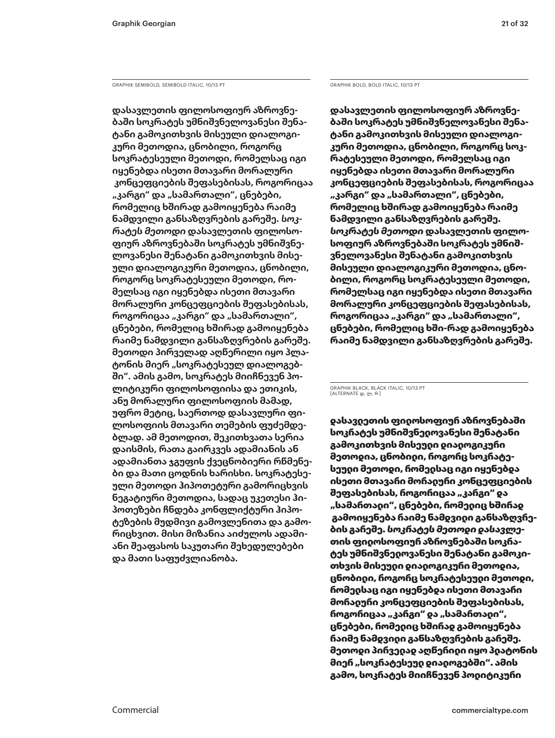GRAPHIK SEMIBOLD, SEMIBOLD ITALIC, 10/13 PT GRAPHIK BOLD, BOLD ITALIC, 10/13 PT

**დასავლეთის ფილოსოფიურ აზროვნებაში სოკრატეს უმნიშვნელოვანესი შენატანი გამოკითხვის მისეული დიალოგიკური მეთოდია, ცნობილი, როგორც სოკრატესეული მეთოდი, რომელსაც იგი იყენებდა ისეთი მთავარი მორალური კონცეფციების შეფასებისას, როგორიცაა "კარგი" და "სამართალი", ცნებები, რომელიც ხშირად გამოიყენება რაიმე ნამდვილი განსაზღვრების გარეშე.** *სოკრატეს მეთოდი* **დასავლეთის ფილოსოფიურ აზროვნებაში სოკრატეს უმნიშვნელოვანესი შენატანი გამოკითხვის მისეული დიალოგიკური მეთოდია, ცნობილი, როგორც სოკრატესეული მეთოდი, რომელსაც იგი იყენებდა ისეთი მთავარი მორალური კონცეფციების შეფასებისას,**  როგორიცაა "კარგი" და "სამართალი", **ცნებები, რომელიც ხშირად გამოიყენება რაიმე ნამდვილი განსაზღვრების გარეშე. მეთოდი პირველად აღწერილი იყო პლა**ტონის მიერ "სოკრატესეულ დიალოგებ**ში". ამის გამო, სოკრატეს მიიჩნევენ პოლიტიკური ფილოსოფიისა და ეთიკის, ანუ მორალური ფილოსოფიის მამად, უფრო მეტიც, საერთოდ დასავლური ფილოსოფიის მთავარი თემების ფუძემდებლად. ამ მეთოდით, შეკითხვათა სერია დაისმის, რათა გაირკვეს ადამიანის ან ადამიანთა ჯგუფის ქვეცნობიერი რწმენები და მათი ცოდნის ხარისხი. სოკრატესეული მეთოდი ჰიპოთეტური გამორიცხვის ნეგატიური მეთოდია, სადაც უკეთესი ჰიპოთეზები ჩნდება კონფლიქტური ჰიპოტეზების მუდმივი გამოვლენითა და გამორიცხვით. მისი მიზანია აიძულოს ადამიანი შეაფასოს საკუთარი შეხედულებები და მათი საფუძვლიანობა.**

**დასავლეთის ფილოსოფიურ აზროვნებაში სოკრატეს უმნიშვნელოვანესი შენატანი გამოკითხვის მისეული დიალოგიკური მეთოდია, ცნობილი, როგორც სოკრატესეული მეთოდი, რომელსაც იგი იყენებდა ისეთი მთავარი მორალური კონცეფციების შეფასებისას, როგორიცაა "კარგი" და "სამართალი", ცნებები, რომელიც ხშირად გამოიყენება რაიმე ნამდვილი განსაზღვრების გარეშე.** *სოკრატეს მეთოდი* **დასავლეთის ფილოსოფიურ აზროვნებაში სოკრატეს უმნიშვნელოვანესი შენატანი გამოკითხვის მისეული დიალოგიკური მეთოდია, ცნობილი, როგორც სოკრატესეული მეთოდი, რომელსაც იგი იყენებდა ისეთი მთავარი მორალური კონცეფციების შეფასებისას,**  როგორიცაა "კარგი" და "სამართალი", **ცნებები, რომელიც ხში-რად გამოიყენება რაიმე ნამდვილი განსაზღვრების გარეშე.** 

GRAPHIK BLACK, BLACK ITALIC, 10/13 PT [ALTERNATE დ, ლ, რ ]

დასავლეთის ფილოსოფიურ აზროვნებაში სოკრატეს უმნიშვნელოვანესი შენატანი გამოკითხვის მისეული დიალოგიკური მეთოდია, ცნობილი, როგორც სოკრატესეული მეთოდი, რომელსაც იგი იყენებდა ისეთი მთავარი მორალური კონცეფციების შეფასებისას, როგორიცაა "კარგი" და "სამართადი", ცნებები, რომედიც ხშირად გამოიყენება რაიმე ნამდვილი განსაზღვრების გარეშე. *სოკრატეს მეთოდი დასავლე*თის ფილოსოფიურ აზროვნებაში სოკრატეს უმნიშვნელოვანესი შენატანი გამოკითხვის მისეული დიალოგიკური მეთოდია, ცნობილი, როგორც სოკრატესეული მეთოდი, რომელსაც იგი იყენებდა ისეთი მთავარი მორალური კონცეფციების შეფასებისას, როგორიცაა "კარგი" და "სამართადი", ცნებები, რომელიც ხშირად გამოიყენება რაიმე ნამდვილი განსაზღვრების გარეშე. მეთოდი პირველად აღწერილი იყო პლატონის მიერ "სოკრატესეუდ დიადოგებში". ამის გამო, სოკრატეს მიიჩნევენ პოლიტიკური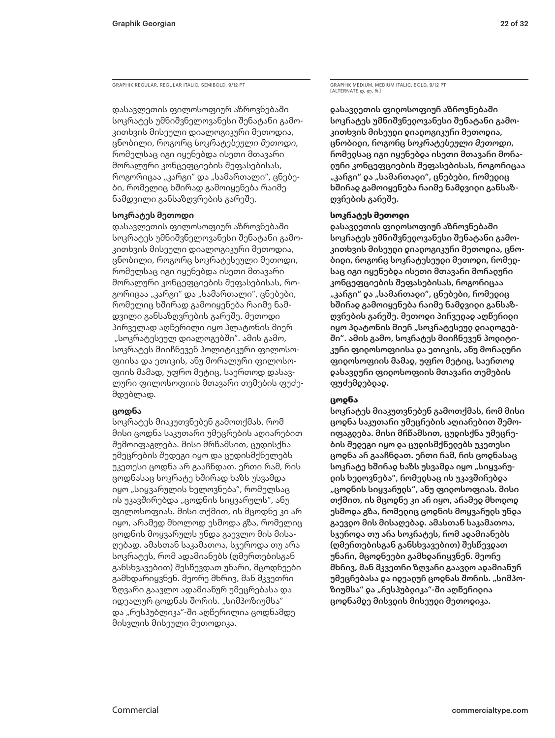GRAPHIK REGULAR, REGULAR ITALIC, SEMIBOLD, 9/12 PT

დასავლეთის ფილოსოფიურ აზროვნებაში სოკრატეს უმნიშვნელოვანესი შენატანი გამოკითხვის მისეული დიალოგიკური მეთოდია, ცნობილი, როგორც *სოკრატესეული მეთოდი*, რომელსაც იგი იყენებდა ისეთი მთავარი მორალური კონცეფციების შეფასებისას, როგორიცაა "კარგი" და "სამართალი", ცნებები, რომელიც ხშირად გამოიყენება რაიმე ნამდვილი განსაზღვრების გარეშე.

### **სოკრატეს მეთოდი**

დასავლეთის ფილოსოფიურ აზროვნებაში სოკრატეს უმნიშვნელოვანესი შენატანი გამოკითხვის მისეული დიალოგიკური მეთოდია, ცნობილი, როგორც სოკრატესეული მეთოდი, რომელსაც იგი იყენებდა ისეთი მთავარი მორალური კონცეფციების შეფასებისას, როგორიცაა "კარგი" და "სამართალი", ცნებები, რომელიც ხშირად გამოიყენება რაიმე ნამდვილი განსაზღვრების გარეშე. მეთოდი პირველად აღწერილი იყო პლატონის მიერ "სოკრატესეულ დიალოგებში". ამის გამო, სოკრატეს მიიჩნევენ პოლიტიკური ფილოსოფიისა და ეთიკის, ანუ მორალური ფილოსოფიის მამად, უფრო მეტიც, საერთოდ დასავლური ფილოსოფიის მთავარი თემების ფუძემდებლად.

### **ცოდნა**

სოკრატეს მიაკუთვნებენ გამოთქმას, რომ მისი ცოდნა საკუთარი უმეცრების აღიარებით შემოიფაგლება. მისი მრწამსით, ცუდისქნა უმეცრების შედეგი იყო და ცუდისმქნელებს უკეთესი ცოდნა არ გააჩნდათ. ერთი რამ, რის ცოდნასაც სოკრატე ხშირად ხაზს უსვამდა იყო "სიყვარულის ხელოვნება", რომელსაც ის უკავშირებდა "ცოდნის სიყვარულს", ანუ ფილოსოფიას. მისი თქმით, ის მცოდნე კი არ იყო, არამედ მხოლოდ ესმოდა გზა, რომელიც ცოდნის მოყვარულს უნდა გაევლო მის მისაღებად. ამასთან საკამათოა, სჯეროდა თუ არა სოკრატეს, რომ ადამიანებს (ღმერთებისგან განსხვავებით) შესწევდათ უნარი, მცოდნეები გამხდარიყვნენ. მეორე მხრივ, მან მკვეთრი ზღვარი გაავლო ადამიანურ უმეცრებასა და იდეალურ ცოდნას შორის. "სიმპოზიუმსა" და "რესპუბლიკა"-ში აღწერილია ცოდნამდე მისვლის მისეული მეთოდიკა.

GRAPHIK MEDIUM, MEDIUM ITALIC, BOLD, 9/12 PT [ALTERNATE დ, ლ, რ ]

დასავლეთის ფილოსოფიურ აზროვნებაში სოკრატეს უმნიშვნელოვანესი შენატანი გამოკითხვის მისეული დიალოგიკური მეთოდია, ცნობილი, როგორც *სოკრატესეული მეთოდი*, რომელსაც იგი იყენებდა ისეთი მთავარი მორალური კონცეფციების შეფასებისას, როგორიცაა "კარგი" და "სამართაიი", ცნებები, რომეიიც ხშირად გამოიყენება რაიმე ნამდვილი განსაზღვრების გარეშე.

### **სოკრატეს მეთოდი**

დასავლეთის ფილოსოფიურ აზროვნებაში სოკრატეს უმნიშვნელოვანესი შენატანი გამოკითხვის მისეული დიალოგიკური მეთოდია, ცნობილი, როგორც სოკრატესეული მეთოდი, რომელსაც იგი იყენებდა ისეთი მთავარი მორალური კონცეფციების შეფასებისას, როგორიცაა "კარგი" და "სამართადი", ცნებები, რომედიც ხშირად გამოიყენება რაიმე ნამდვილი განსაზღვრების გარეშე. მეთოდი პირველად აღწერილი იყო პიატონის მიერ "სოკრატესეუდ დიადოგებში". ამის გამო, სოკრატეს მიიჩნევენ პოლიტიკური ფილოსოფიისა და ეთიკის, ანუ მორალური ფილოსოფიის მამად, უფრო მეტიც, საერთოდ დასავლური ფილოსოფიის მთავარი თემების ფუძემდებლად.

### **ცოდნა**

სოკრატეს მიაკუთვნებენ გამოთქმას, რომ მისი ცოდნა საკუთარი უმეცრების აღიარებით შემოიფაგლება. მისი მრწამსით, ცუდისქნა უმეცრების შედეგი იყო და ცუდისმქნელებს უკეთესი ცოდნა არ გააჩნდათ. ერთი რამ, რის ცოდნასაც სოკრატე ხშირად ხაზს უსვამდა იყო "სიყვარულის ხელოვნება", რომელსაც ის უკავშირებდა "ცოდნის სიყვარულს", ანუ ფილოსოფიას. მისი თქმით, ის მცოდნე კი არ იყო, არამედ მხოლოდ ესმოდა გზა, რომელიც ცოდნის მოყვარულს უნდა გაევლო მის მისაღებად. ამასთან საკამათოა, სჯეროდა თუ არა სოკრატეს, რომ ადამიანებს (ღმერთებისგან განსხვავებით) შესწევდათ უნარი, მცოდნეები გამხდარიყვნენ. მეორე მხრივ, მან მკვეთრი ზღვარი გაავლო ადამიანურ უმეცრებასა და იდეადურ ცოდნას შორის. "სიმპოზიუმსა" და "რესპუბდიკა"-ში აღწერიდია ცოდნამდე მისვლის მისეული მეთოდიკა.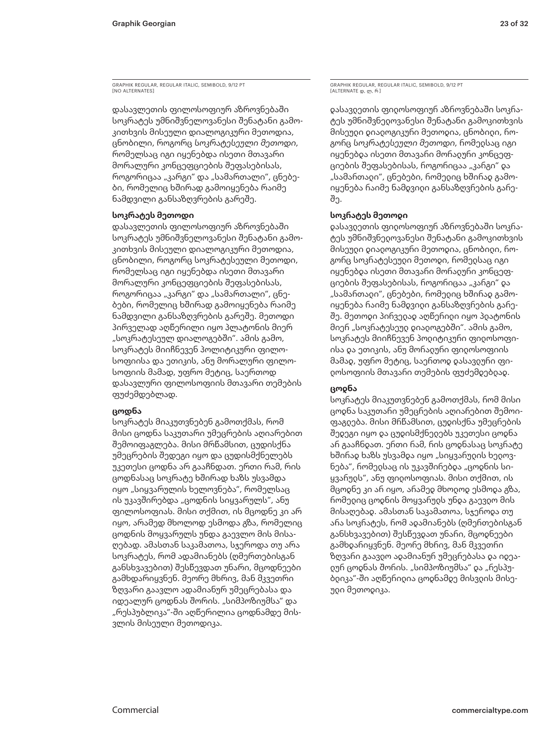GRAPHIK REGULAR, REGULAR ITALIC, SEMIBOLD, 9/12 PT [NO ALTERNATES

დასავლეთის ფილოსოფიურ აზროვნებაში სოკრატეს უმნიშვნელოვანესი შენატანი გამოკითხვის მისეული დიალოგიკური მეთოდია, ცნობილი, როგორც *სოკრატესეული მეთოდი*, რომელსაც იგი იყენებდა ისეთი მთავარი მორალური კონცეფციების შეფასებისას, როგორიცაა "კარგი" და "სამართალი", ცნებები, რომელიც ხშირად გამოიყენება რაიმე ნამდვილი განსაზღვრების გარეშე.

### **სოკრატეს მეთოდი**

დასავლეთის ფილოსოფიურ აზროვნებაში სოკრატეს უმნიშვნელოვანესი შენატანი გამოკითხვის მისეული დიალოგიკური მეთოდია, ცნობილი, როგორც სოკრატესეული მეთოდი, რომელსაც იგი იყენებდა ისეთი მთავარი მორალური კონცეფციების შეფასებისას, როგორიცაა "კარგი" და "სამართალი", ცნებები, რომელიც ხშირად გამოიყენება რაიმე ნამდვილი განსაზღვრების გარეშე. მეთოდი პირველად აღწერილი იყო პლატონის მიერ "სოკრატესეულ დიალოგებში". ამის გამო, სოკრატეს მიიჩნევენ პოლიტიკური ფილოსოფიისა და ეთიკის, ანუ მორალური ფილოსოფიის მამად, უფრო მეტიც, საერთოდ დასავლური ფილოსოფიის მთავარი თემების ფუძემდებლად.

### **ცოდნა**

სოკრატეს მიაკუთვნებენ გამოთქმას, რომ მისი ცოდნა საკუთარი უმეცრების აღიარებით შემოიფაგლება. მისი მრწამსით, ცუდისქნა უმეცრების შედეგი იყო და ცუდისმქნელებს უკეთესი ცოდნა არ გააჩნდათ. ერთი რამ, რის ცოდნასაც სოკრატე ხშირად ხაზს უსვამდა იყო "სიყვარულის ხელოვნება", რომელსაც ის უკავშირებდა "ცოდნის სიყვარულს", ანუ ფილოსოფიას. მისი თქმით, ის მცოდნე კი არ იყო, არამედ მხოლოდ ესმოდა გზა, რომელიც ცოდნის მოყვარულს უნდა გაევლო მის მისაღებად. ამასთან საკამათოა, სჯეროდა თუ არა სოკრატეს, რომ ადამიანებს (ღმერთებისგან განსხვავებით) შესწევდათ უნარი, მცოდნეები გამხდარიყვნენ. მეორე მხრივ, მან მკვეთრი ზღვარი გაავლო ადამიანურ უმეცრებასა და იდეალურ ცოდნას შორის. "სიმპოზიუმსა" და "რესპუბლიკა"-ში აღწერილია ცოდნამდე მისვლის მისეული მეთოდიკა.

GRAPHIK REGULAR, REGULAR ITALIC, SEMIBOLD, 9/12 PT [ALTERNATE დ, ლ, რ ]

დასავლეთის ფილოსოფიურ აზროვნებაში სოკრატეს უმნიშვნელოვანესი შენატანი გამოკითხვის მისეული დიალოგიკური მეთოდია, ცნობილი, როგო**რც სოკრატესეული მეთოდი, რომე**დსაც იგი იყენებდა ისეთი მთავარი მორალური კონცეფციების შეფასებისას, როგორიცაა "კარგი" და "სამართალი", ცნებები, რომელიც ხშირად გამოიყენება რაიმე ნამდვილი განსაზღვრების გარეშე.

### **სოკრატეს მეთოდი**

დასავლეთის ფილოსოფიურ აზროვნებაში სოკრატეს უმნიშვნელოვანესი შენატანი გამოკითხვის მისეული დიალოგიკური მეთოდია, ცნობილი, როგორც სოკრატესეუდი მეთოდი, რომედსაც იგი იყენებდა ისეთი მთავარი მორალური კონცეფციების შეფასებისას, როგორიცაა "კარგი" და "სამართალი", ცნებები, რომელიც ხშირად გამოიყენება რაიმე ნამდვილი განსაზღვრების გარეშე. მეთოდი პირვედად აღწერიდი იყო პდატონის მიერ "სოკრატესეულ დიალოგებში". ამის გამო, სოკრატეს მიიჩნევენ პოლიტიკური ფილოსოფიისა და ეთიკის, ანუ მორადური ფიდოსოფიის მამად, უფრო მეტიც, საერთოდ დასავლური ფილოსოფიის მთავარი თემების ფუძემდებლად.

### **ცოდნა**

სოკრატეს მიაკუთვნებენ გამოთქმას, რომ მისი ცოდნა საკუთარი უმეცრების აღიარებით შემოიფაგლება. მისი მრწამსით, ცუდისქნა უმეცრების შედეგი იყო და ცუდისმქნელებს უკეთესი ცოდნა არ გააჩნდათ. ერთი რამ, რის ცოდნასაც სოკრატე ხშირად ხაზს უსვამდა იყო "სიყვარუდის ხედოვნება", რომედსაც ის უკავშირებდა "ცოდნის სიყვარულს", ანუ ფილოსოფიას. მისი თქმით, ის მცოდნე კი არ იყო, არამედ მხოლოდ ესმოდა გზა, რომელიც ცოდნის მოყვარულს უნდა გაევლო მის მისაღებად. ამასთან საკამათოა, სჯეროდა თუ არა სოკრატეს, რომ ადამიანებს (ღმერთებისგან განსხვავებით) შესწევდათ უნარი, მცოდნეები გამხდარიყვნენ. მეორე მხრივ, მან მკვეთრი ზღვარი გაავლო ადამიანურ უმეცრებასა და იდეადურ ცოდნას შორის. "სიმპოზიუმსა" და "რესპუბდიკა"-ში აღწერიდია ცოდნამდე მისვდის მისეული მეთოდიკა.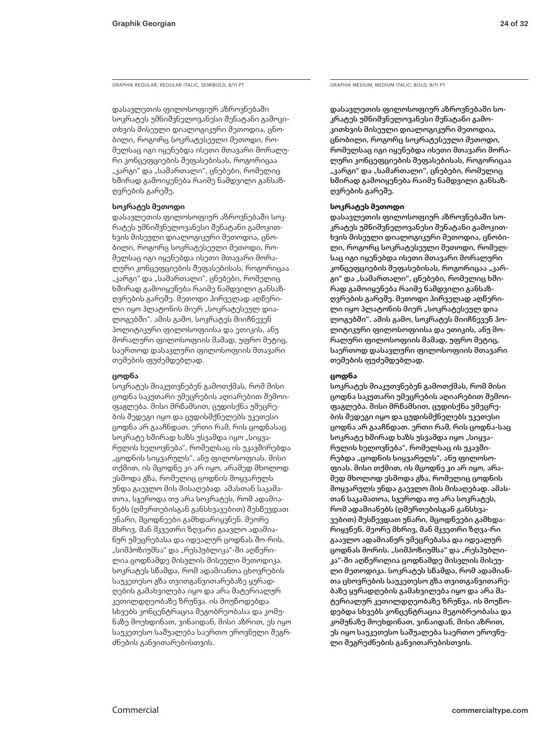GRAPHIK REGULAR, REGULAR ITALIC, SEMIBOLD, 8/11 PT GRAPHIC GRAPHIK MEDIUM, MEDIUM ITALIC, BOLD, 8/11 PT

დასავლეთის ფილოსოფიურ აზროვნებაში სოკრატეს უმნიშვნელოვანესი შენატანი გამოკითხვის მისეული დიალოგიკური მეთოდია, ცნობილი, როგორც *სოკრატესეული მეთოდი*, რომელსაც იგი იყენებდა ისეთი მთავარი მორალური კონცეფციების შეფასებისას, როგორიცაა "კარგი" და "სამართალი", ცნებები, რომელიც ხშირად გამოიყენება რაიმე ნამდვილი განსაზღვრების გარეშე.

### **სოკრატეს მეთოდი**

დასავლეთის ფილოსოფიურ აზროვნებაში სოკრატეს უმნიშვნელოვანესი შენატანი გამოკითხვის მისეული დიალოგიკური მეთოდია, ცნობილი, როგორც სოკრატესეული მეთოდი, რომელსაც იგი იყენებდა ისეთი მთავარი მორალური კონცეფციების შეფასებისას, როგორიცაა "კარგი" და "სამართალი", ცნებები, რომელიც ხშირად გამოიყენება რაიმე ნამდვილი განსაზღვრების გარეშე. მეთოდი პირველად აღწერილი იყო პლატონის მიერ "სოკრატესეულ დიალოგებში". ამის გამო, სოკრატეს მიიჩნევენ პოლიტიკური ფილოსოფიისა და ეთიკის, ანუ მორალური ფილოსოფიის მამად, უფრო მეტიც, საერთოდ დასავლური ფილოსოფიის მთავარი თემების ფუძემდებლად.

### **ცოდნა**

სოკრატეს მიაკუთვნებენ გამოთქმას, რომ მისი ცოდნა საკუთარი უმეცრების აღიარებით შემოიფაგლება. მისი მრწამსით, ცუდისქნა უმეცრების შედეგი იყო და ცუდისმქნელებს უკეთესი ცოდნა არ გააჩნდათ. ერთი რამ, რის ცოდნასაც სოკრატე ხშირად ხაზს უსვამდა იყო "სიყვარულის ხელოვნება", რომელსაც ის უკავშირებდა "ცოდნის სიყვარულს", ანუ ფილოსოფიას. მისი თქმით, ის მცოდნე კი არ იყო, არამედ მხოლოდ ესმოდა გზა, რომელიც ცოდნის მოყვარულს უნდა გაევლო მის მისაღებად. ამასთან საკამათოა, სჯეროდა თუ არა სოკრატეს, რომ ადამიანებს (ღმერთებისგან განსხვავებით) შესწევდათ უნარი, მცოდნეები გამხდარიყვნენ. მეორე მხრივ, მან მკვეთრი ზღვარი გაავლო ადამიანურ უმეცრებასა და იდეალურ ცოდნას შო-რის. "სიმპოზიუმსა" და "რესპუბლიკა"-ში აღწერილია ცოდნამდე მისვლის მისეული მეთოდიკა. სოკრატეს სწამდა, რომ ადამიანთა ცხოვრების საუკეთესო გზა თვითგანვითარებაზე ყურადღების გამახვილება იყო და არა მატერიალურ კეთილდღეობაზე ზრუნვა. ის მოუწოდებდა სხვებს კონცენტრაცია მეგობრეობასა და კომუნაზე მოეხდინათ, ვინაიდან, მისი აზრით, ეს იყო საუკეთესო საშუალება საერთო ეროვნული შეგრძნების განვითარებისთვის.

დასავლეთის ფილოსოფიურ აზროვნებაში სოკრატეს უმნიშვნელოვანესი შენატანი გამოკითხვის მისეული დიალოგიკური მეთოდია, ცნობილი, როგორც *სოკრატესეული მეთოდი*, რომელსაც იგი იყენებდა ისეთი მთავარი მორალური კონცეფციების შეფასებისას, როგორიცაა "კარგი" და "სამართალი", ცნებები, რომელიც ხშირად გამოიყენება რაიმე ნამდვილი განსაზღვრების გარეშე.

### **სოკრატეს მეთოდი**

დასავლეთის ფილოსოფიურ აზროვნებაში სოკრატეს უმნიშვნელოვანესი შენატანი გამოკითხვის მისეული დიალოგიკური მეთოდია, ცნობილი, როგორც სოკრატესეული მეთოდი, რომელსაც იგი იყენებდა ისეთი მთავარი მორალური კონცეფციების შეფასებისას, როგორიცაა "კარგი" და "სამართალი", ცნებები, რომელიც ხშირად გამოიყენება რაიმე ნამდვილი განსაზღვრების გარეშე. მეთოდი პირველად აღწერილი იყო პლატონის მიერ "სოკრატესეულ დია ლოგებში". ამის გამო, სოკრატეს მიიჩნევენ პოლიტიკური ფილოსოფიისა და ეთიკის, ანუ მორალური ფილოსოფიის მამად, უფრო მეტიც, საერთოდ დასავლური ფილოსოფიის მთავარი თემების ფუძემდებლად.

### **ცოდნა**

სოკრატეს მიაკუთვნებენ გამოთქმას, რომ მისი ცოდნა საკუთარი უმეცრების აღიარებით შემოიფაგლება. მისი მრწამსით, ცუდისქნა უმეცრების შედეგი იყო და ცუდისმქნელებს უკეთესი ცოდნა არ გააჩნდათ. ერთი რამ, რის ცოდნა-საც სოკრატე ხშირად ხაზს უსვამდა იყო "სიყვარულის ხელოვნება", რომელსაც ის უკავშირებდა "ცოდნის სიყვარულს", ანუ ფილოსოფიას. მისი თქმით, ის მცოდნე კი არ იყო, არამედ მხოლოდ ესმოდა გზა, რომელიც ცოდნის მოყვარულს უნდა გაევლო მის მისაღებად. ამასთან საკამათოა, სჯეროდა თუ არა სოკრატეს, რომ ადამიანებს (ღმერთებისგან განსხვავებით) შესწევდათ უნარი, მცოდნეები გამხდარიყვნენ. მეორე მხრივ, მან მკვეთრი ზღვა-რი გაავლო ადამიანურ უმეცრებასა და იდეალურ ცოდნას შორის. "სიმპოზიუმსა" და "რესპუბლიკა"-ში აღწერილია ცოდნამდე მისვლის მისეული მეთოდიკა. სოკრატეს სწამდა, რომ ადამიანთა ცხოვრების საუკეთესო გზა თვითგანვითარებაზე ყურადღების გამახვილება იყო და არა მატერიალურ კეთილდღეობაზე ზრუნვა. ის მოუწოდებდა სხვებს კონცენტრაცია მეგობრეობასა და კომუნაზე მოეხდინათ, ვინაიდან, მისი აზრით, ეს იყო საუკეთესო საშუალება საერთო ეროვნული შეგრეძნების განვითარებისთვის.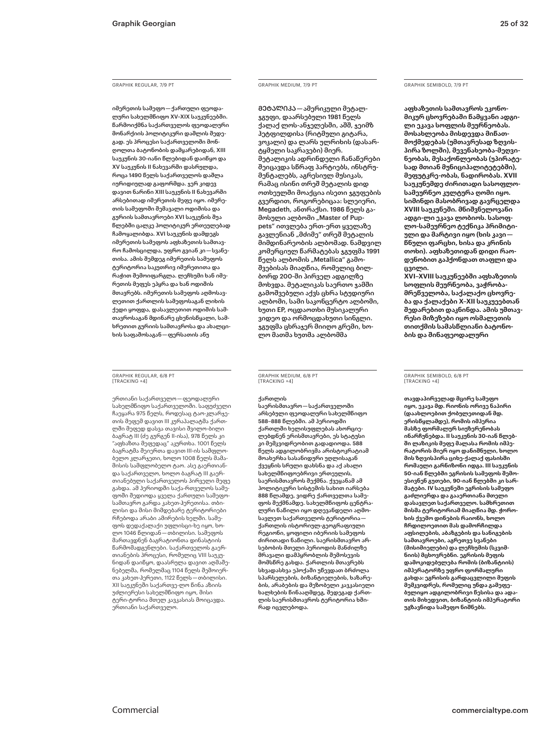### GRAPHIK REGULAR, 7/9 PT

იმერეთის სამეფო — ქართული ფეოდალური სახელმწიფო XV–XIX საუკუნეებში. წარმოიქმნა საქართველოს ფეოდალური მონარქიის პოლიტიკური დაშლის შედეგად. ეს პროცესი საქართველოში მონღოლთა ბატონობის დამყარებიდან, XIII საუკუნის 30-იანი წლებიდან დაიწყო და XV საუკუნის II ნახევარში დასრულდა, როცა 1490 წელს საქართველოს დაშლა იურიდიულად გაფორმდა. ჯერ კიდევ დავით ნარინი XIII საუკუნის II ნახევარში არსებითად იმერეთის მეფე იყო. იმერეთის სამეფოში შემავალი ოდიშისა და გურიის სამთავროები XVI საუკუნის შუა წლებში ცალკე პოლიტიკურ ერთეულებად ჩამოყალიბდა. XVI საუკუნის დამდეგს იმერეთის სამეფოს აფხაზეთის სამთავრო ჩამოსცილდა, უფრო გვიან კი — სვანეთისა. ამის შემდეგ იმერეთის სამეფოს ტერიტორია საკუთრივ იმერეთითა და რაჭით შემოიფარგლა. ლეჩხუმი ხან იმერეთის მეფეს ეპყრა და ხან ოდიშის მთავრებს. იმერეთის სამეფოს აღმოსავლეთით ქართლის სამეფოსაგან ლიხის ქედი ყოფდა, დასავლეთით ოდიშის სამთავროსაგან მდინარე ცხენისწყალი, სამხრეთით გურიის სამთავროსა და ახალციხის საფაშოსაგან — ფერსათის ანუ

GRAPHIK REGULAR, 6/8 PT [TRACKING +4]

ერთიანი საქართველო — ფეოდალური სახელმწიფო საქართველოში. საფუძველი ჩაეყარა 975 წელს, როდესაც ტაო-კლარჯეთის მეფემ დავით III კურაპალატმა ქართლში მეფედ დასვა თავისი შვილო-ბილი ბაგრატ III (ძე გურგენ II-ისა), 978 წელს კი "აფხაზთა მეფედაც" აკურთხა. 1001 წელს ბაგრატმა შეიერთა დავით III-ის სამფლობელო კლარჯეთი, ხოლო 1008 წელს მამამისის სამფლობელო ტაო. ასე გაერთიანდა საქართველო, ხოლო ბაგრატ III გაერთიანებული საქართველოს პირველი მეფე გახდა. ამ პერიოდში საქა-რთველოს სამეფოში შედიოდა ყველა ქართული სამეფოსამთავრო გარდა კახეთ-ჰერეთისა. თბილისი და მისი მიმდებარე ტერიტორიები რჩებოდა არაბი ამირების ხელში. სამეფოს დედაქალაქი უფლისცი-ხე იყო, ხოლო 1046 წლიდან — თბილისი. სამეფოს მართავდნენ ბაგრატიონთა დინასტიის წარმომადგენლები. საქართველოს გაერთიანების პროცესი, რომელიც VIII საუკუნიდან დაიწყო, დაასრულა დავით აღმაშენებელმა, რომელმაც 1104 წელს შემოიერთა კახეთ-ჰერეთი, 1122 წელს — თბილისი. XII საუკუნეში საქართვე-ლო წინა აზიის უძლიერესი სახელმწიფო იყო, მისი ტერი-ტორია მთელ კავკასიას მოიცავდა. ერთიანი საქართველო.

### GRAPHIK MEDIUM, 7/9 PT

ᲛᲔᲢᲐᲚᲘᲙᲐ — ამერიკული მეტალჯგუფი, დაარსებული 1981 წელს ქალაქ ლოს-ანჯელესში, აშშ, ჯეიმზ ჰეტფილდისა (რიტმული გიტარა, ვოკალი) და ლარს ულრიხის (დასარტყმელი საკრავები) მიერ. მეტალიკის ადრინდელი ჩანაწერები შეიცავდა სწრაფ პარტიებს, ინსტრუმენტალებს, აგრესიულ მუსიკას, რამაც ისინი თრეშ მეტალის დიდ ოთხეულში მოაქცია ისეთი ჯგუფების გვერდით, როგორებიცაა: სლეიერი, Megadeth, ანთრაქსი. 1986 წელს გამოსული ალბომი "Master of Puppets" ითვლება ერთ-ერთ ყველაზე გავლენიან "მძიმე" თრეშ მეტალის მიმდინარეობის ალბომად. ნამდვილ კომერციულ წარმატებას ჯგუფმა <mark>1991</mark> წელს ალბომის "Metallica" გამოშვებისას მიაღწია, რომელიც ბილბორდ 200-ში პირველ ადგილზე მოხვდა. მეტალიკას საერთო ჯამში გამოშვებული აქვს ცხრა სტუდიური ალბომი, სამი საკონცერტო ალბომი, ხუთი EP, ოცდაოთხი მუსიკალური ვიდეო და ორმოცდახუთი სინგლი. ჯგუფმა ცხრაჯერ მიიღო გრემი, ხოლო მათმა ხუთმა ალბომმა

GRAPHIK MEDIUM, 6/8 PT [TRACKING +4]

### ქართლის

საერისმთავრო — საქართველოში არსებული ფეოდალური სახელმწიფო 588–888 წლებში. ამ პერიოდში ქართლში ხელისუფლებას ახორციელებდნენ ერისმთავრები, ეს სტატუსი კი მემკვიდრეობით გადადიოდა. 588 წელს ადგილობრივმა არისტოკრატიამ მოახერხა სასანიდური უღლისაგან ქვეყნის სრული დახსნა და აქ ახალი სახელმწიფოებრივი ერთეულის, საერისმთავროს შექმნა. ქვეყანამ ამ პოლიტიკური სისტემის სახით იარსება 888 წლამდე, ვიდრე ქართველთა სამეფოს შექმნამდე. სახელმწიფოს ცენტრალური ნაწილი იყო დღევანდელი აღმოსავლეთ საქართველოს ტერიტორია   ქართლის ისტორიულ-გეოგრაფიული რეგიონი, ყოფილი იბერიის სამეფოს ძირითადი ნაწილი. საერისმთავრო არსებობის მთელი პერიოდის მანძილზე მრავალი დამპყრობლის შემოსევის მომსწრე გახდა. ქართლის მთავრებს სხვადასხვა ეპოქაში უწევდათ ბრძოლა სპარსელების, ბიზანტიელების, ხაზარების, არაბების და მეზობელი კავკასიელი ხალხების წინააღმდეგ, შედეგად ქართლის საერისმთავროს ტერიტორია ხშირად იცვლებოდა.

### GRAPHIK SEMIBOLD, 7/9 PT

**აფხაზეთის სამთავროს ეკონომიკურ ცხოვრებაში წამყვანი ადგილი ეკავა სოფლის მეურნეობას. მოსახლეობა მისდევდა მიწათმოქმედებას (უმთავრესად ზღვისპირა ზოლში), მევენახეობა-მეღვინეობას, მესაქონლეობას (უპირატესად მთიან მუნიციპალიტეტებში), მეფუტკრე-ობას, ნადირობას. XVII საუკუნემდე ძირითადი სასოფლოსამეურნეო კულტურა ღომი იყო. სიმინდი მასობრივად გავრცელდა XVIII საუკუნეში. მნიშვნელოვანი ადგი-ლი ეკავა ლობიოს. სასოფლო-სამეურნეო ტექნიკა პრიმიტიული და მარტივი იყო (ხის კავი   წნული ფარცხი, ხისა და კრინის თოხი). აფხაზეთიდან დიდი რაოდენობით გაჰქონდათ თაფლი და ცვილი.**

**XVI–XVIII საუკუნეებში აფხაზეთის სოფლის მეურნეობა, ვაჭრობამრეწველობა, საქალაქო ცხოვრება და ქალაქები X–XII საუკუეებთან შედარებით დაკნინდა. ამის უმთავრესი მიზეზები იყო ოსმალეთის თითქმის სამასწლიანი ბატონობის და შინაფეოდალური** 

### GRAPHIK SEMIBOLD, 6/8 PT [TRACKING +4]

**თავდაპირველად მცირე სამეფო იყო, ეკავა მდ. რიონის ორივე ნაპირი (დაახლოებით ქობულეთიდან მდ. ერისწყლამდე), რომის იმპერია მასზე ფორმალურ სიუზერენობას ინარჩუნებდა. II საუკუნის 30-იან წლებში ლაზიკის მეფე მალასა რომის იმპერატორის მიერ იყო დანიშნული, ხოლო მის ზღვისპირა ციხე-ქალაქ ფასისში რომაული გარნიზონი იდგა. III საუკუნის 50-იან წლებში ეგრისის სამეფოს შემოესივნენ გუთები, 90-იან წლებში კი სარმატები. IV საუკუნეში ეგრისის სამეფო გაძლიერდა და გააერთიანა მთელი დასავლეთ საქართველო. სამხრეთით მისმა ტერიტორიამ მიაღწია მდ. ჭოროხის ქვემო დინების რაიონს, ხოლო ჩრდილოეთით მას დამორჩილდა აფსილების, აბაზგების და სანიგების სამთავროები, აგრეთვე სვანები (მისიმიელები) და ლეჩხუმის (სკვიმნიის) მცხოვრებნი. ეგრისის მეფის დამოკიდებულება რომის (ბიზანტიის) იმპერატორზე უფრო ფორმალური გახდა: ეგრისის გარდაცვლილი მეფის მემკვიდრეს, რომელიც უნდა გამეფებულიყო ადგილობრივი წესისა და ადათის მიხედვით, ბიზანტიის იმპერატორი უგზავნიდა სამეფო ნიშნებს.**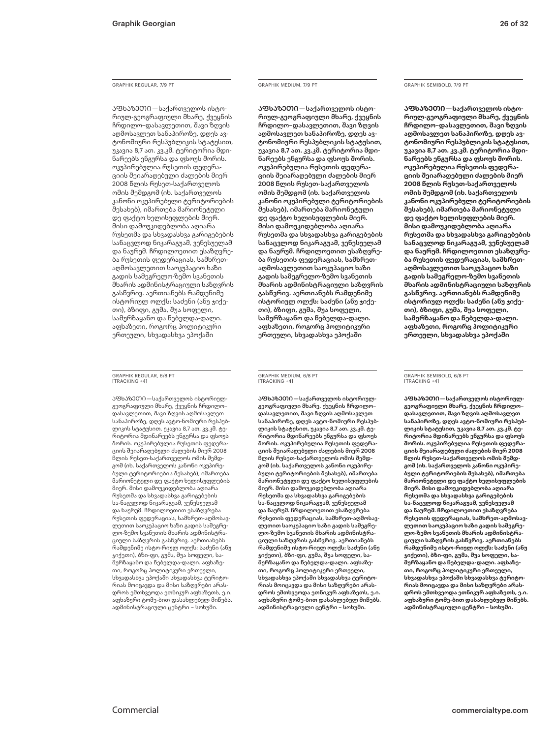### GRAPHIK REGULAR, 7/9 PT

ᲐᲤᲮᲐᲖᲔᲗᲘ — საქართველოს ისტორიულ-გეოგრაფიული მხარე, ქვეყნის ჩრდილო–დასავლეთით, შავი ზღვის აღმოსავლეთ სანაპიროზე, დღეს ავტონომიური რესპუბლიკის სტატუსით, უკავია 8,7 ათ. კვ.კმ. ტერიტორია მდინარეებს ენგურსა და ფსოუს შორის. ოკუპირებულია რუსეთის ფედერაციის შეიარაღებული ძალების მიერ 2008 წლის რუსეთ-საქართველოს ომის შემდგომ (იხ. საქართველოს კანონი ოკუპირებული ტერიტორიების შესახებ), იმართება მარიონეტული დე ფაქტო ხელისუფლების მიერ. მისი დამოუკიდებლობა აღიარა რუსეთმა და სხვადასხვა გარიგებების სანაცვლოდ ნიკარაგუამ, ვენესუელამ და ნაურუმ. ჩრდილოეთით ესაზღვრება რუსეთის ფედერაციას, სამხრეთაღმოსავლეთით საოკუპაციო ხაზი გადის სამეგრელო-ზემო სვანეთის მხარის ადმინისტრაციული საზღვრის გასწვრივ. აერთიანებს რამდენიმე ისტორიულ ოლქს: საძენი (ანუ ჯიქეთი), ბზიფი, გუმა, შუა სოფელი, სამურზაყანო და წებელდა-დალი. აფხაზეთი, როგორც პოლიტიკური ერთეული, სხვადასხვა ეპოქაში

### GRAPHIK REGULAR, 6/8 PT [TRACKING +4]

ᲐᲤᲮᲐᲖᲔᲗᲘ — საქართველოს ისტორიულგეოგრაფიული მხარე, ქვეყნის ჩრდილო– დასავლეთით, შავი ზღვის აღმოსავლეთ სანაპიროზე, დღეს ავტო-ნომიური რესპუბლიკის სტატუსით, უკავია 8,7 ათ. კვ.კმ. ტერიტორია მდინარეებს ენგურსა და ფსოუს შორის. ოკუპირებულია რუსეთის ფედერაციის შეიარაღებული ძალების მიერ 2008 წლის რუსეთ-საქართველოს ომის შემდგომ (იხ. საქართველოს კანონი ოკუპირებული ტერიტორიების შესახებ), იმართება მარიონეტული დე ფაქტო ხელისუფლების მიერ. მისი დამოუკიდებლობა აღიარა რუსეთმა და სხვადასხვა გარიგებების სა-ნაცვლოდ ნიკარაგუამ, ვენესუელამ და ნაურუმ. ჩრდილოეთით ესაზღვრება რუსეთის ფედერაციას, სამხრეთ-აღმოსავლეთით საოკუპაციო ხაზი გადის სამეგრელო-ზემო სვანეთის მხარის ადმინისტრაციული საზღვრის გასწვრივ. აერთიანებს რამდენიმე ისტო-რიულ ოლქს: საძენი (ანუ ჯიქეთი), ბზი-ფი, გუმა, შუა სოფელი, სამურზაყანო და წებელდა-დალი. აფხაზეთი, როგორც პოლიტიკური ერთეული, სხვადასხვა ეპოქაში სხვადასხვა ტერიტორიას მოიცავდა და მისი საზღვრები არასდროს ემთხვეოდა ეთნიკურ აფხაზეთს, ე.ი. აფხაზური ტომე-ბით დასახლებულ მიწებს. ადმინისტრაციული ცენტრი – სოხუმი.

### GRAPHIK MEDIUM, 7/9 PT

ᲐᲤᲮᲐᲖᲔᲗᲘ — საქართველოს ისტორიულ-გეოგრაფიული მხარე, ქვეყნის ჩრდილო–დასავლეთით, შავი ზღვის აღმოსავლეთ სანაპიროზე, დღეს ავტონომიური რესპუბლიკის სტატუსით, უკავია 8,7 ათ. კვ.კმ. ტერიტორია მდინარეებს ენგურსა და ფსოუს შორის. ოკუპირებულია რუსეთის ფედერაციის შეიარაღებული ძალების მიერ 2008 წლის რუსეთ-საქართველოს ომის შემდგომ (იხ. საქართველოს კანონი ოკუპირებული ტერიტორიების შესახებ), იმართება მარიონეტული დე ფაქტო ხელისუფლების მიერ. მისი დამოუკიდებლობა აღიარა რუსეთმა და სხვადასხვა გარიგებების სანაცვლოდ ნიკარაგუამ, ვენესუელამ და ნაურუმ. ჩრდილოეთით ესაზღვრება რუსეთის ფედერაციას, სამხრეთაღმოსავლეთით საოკუპაციო ხაზი გადის სამეგრელო-ზემო სვანეთის მხარის ადმინისტრაციული საზღვრის გასწვრივ. აერთიანებს რამდენიმე ისტორიულ ოლქს: საძენი (ანუ ჯიქეთი), ბზიფი, გუმა, შუა სოფელი, სამურზაყანო და წებელდა-დალი. აფხაზეთი, როგორც პოლიტიკური ერთეული, სხვადასხვა ეპოქაში

### GRAPHIK MEDIUM, 6/8 PT [TRACKING +4]

ᲐᲤᲮᲐᲖᲔᲗᲘ — საქართველოს ისტორიულგეოგრაფიული მხარე, ქვეყნის ჩრდილო– დასავლეთით, შავი ზღვის აღმოსავლეთ სანაპიროზე, დღეს ავტო-ნომიური რესპუბლიკის სტატუსით, უკავია 8,7 ათ. კვ.კმ. ტერიტორია მდინარეებს ენგურსა და ფსოუს შორის. ოკუპირებულია რუსეთის ფედერაციის შეიარაღებული ძალების მიერ 2008 წლის რუსეთ-საქართველოს ომის შემდგომ (იხ. საქართველოს კანონი ოკუპირებული ტერიტორიების შესახებ), იმართება მარიონეტული დე ფაქტო ხელისუფლების მიერ. მისი დამოუკიდებლობა აღიარა რუსეთმა და სხვადასხვა გარიგებების სა-ნაცვლოდ ნიკარაგუამ, ვენესუელამ და ნაურუმ. ჩრდილოეთით ესაზღვრება რუსეთის ფედერაციას, სამხრეთ-აღმოსავლეთით საოკუპაციო ხაზი გადის სამეგრელო-ზემო სვანეთის მხარის ადმინისტრაციული საზღვრის გასწვრივ. აერთიანებს რამდენიმე ისტო-რიულ ოლქს: საძენი (ანუ ჯიქეთი), ბზი-ფი, გუმა, შუა სოფელი, სამურზაყანო და წებელდა-დალი. აფხაზეთი, როგორც პოლიტიკური ერთეული, სხვადასხვა ეპოქაში სხვადასხვა ტერიტორიას მოიცავდა და მისი საზღვრები არასდროს ემთხვეოდა ეთნიკურ აფხაზეთს, ე.ი. აფხაზური ტომე-ბით დასახლებულ მიწებს. ადმინისტრაციული ცენტრი – სოხუმი.

### GRAPHIK SEMIBOLD, 7/9 PT

**ᲐᲤᲮᲐᲖᲔᲗᲘ — საქართველოს ისტორიულ-გეოგრაფიული მხარე, ქვეყნის ჩრდილო–დასავლეთით, შავი ზღვის აღმოსავლეთ სანაპიროზე, დღეს ავტონომიური რესპუბლიკის სტატუსით, უკავია 8,7 ათ. კვ.კმ. ტერიტორია მდინარეებს ენგურსა და ფსოუს შორის. ოკუპირებულია რუსეთის ფედერაციის შეიარაღებული ძალების მიერ 2008 წლის რუსეთ-საქართველოს ომის შემდგომ (იხ. საქართველოს კანონი ოკუპირებული ტერიტორიების შესახებ), იმართება მარიონეტული დე ფაქტო ხელისუფლების მიერ. მისი დამოუკიდებლობა აღიარა რუსეთმა და სხვადასხვა გარიგებების სანაცვლოდ ნიკარაგუამ, ვენესუელამ და ნაურუმ. ჩრდილოეთით ესაზღვრება რუსეთის ფედერაციას, სამხრეთაღმოსავლეთით საოკუპაციო ხაზი გადის სამეგრელო-ზემო სვანეთის მხარის ადმინისტრაციული საზღვრის გასწვრივ. აერთიანებს რამდენიმე ისტორიულ ოლქს: საძენი (ანუ ჯიქეთი), ბზიფი, გუმა, შუა სოფელი, სამურზაყანო და წებელდა-დალი. აფხაზეთი, როგორც პოლიტიკური ერთეული, სხვადასხვა ეპოქაში** 

### GRAPHIK SEMIBOLD, 6/8 PT [TRACKING +4]

**ᲐᲤᲮᲐᲖᲔᲗᲘ — საქართველოს ისტორიულგეოგრაფიული მხარე, ქვეყნის ჩრდილო– დასავლეთით, შავი ზღვის აღმოსავლეთ სანაპიროზე, დღეს ავტო-ნომიური რესპუბლიკის სტატუსით, უკავია 8,7 ათ. კვ.კმ. ტერიტორია მდინარეებს ენგურსა და ფსოუს შორის. ოკუპირებულია რუსეთის ფედერაციის შეიარაღებული ძალების მიერ 2008 წლის რუსეთ-საქართველოს ომის შემდგომ (იხ. საქართველოს კანონი ოკუპირებული ტერიტორიების შესახებ), იმართება მარიონეტული დე ფაქტო ხელისუფლების მიერ. მისი დამოუკიდებლობა აღიარა რუსეთმა და სხვადასხვა გარიგებების სა-ნაცვლოდ ნიკარაგუამ, ვენესუელამ და ნაურუმ. ჩრდილოეთით ესაზღვრება რუსეთის ფედერაციას, სამხრეთ-აღმოსავლეთით საოკუპაციო ხაზი გადის სამეგრელო-ზემო სვანეთის მხარის ადმინისტრაციული საზღვრის გასწვრივ. აერთიანებს რამდენიმე ისტო-რიულ ოლქს: საძენი (ანუ ჯიქეთი), ბზი-ფი, გუმა, შუა სოფელი, სამურზაყანო და წებელდა-დალი. აფხაზეთი, როგორც პოლიტიკური ერთეული, სხვადასხვა ეპოქაში სხვადასხვა ტერიტორიას მოიცავდა და მისი საზღვრები არასდროს ემთხვეოდა ეთნიკურ აფხაზეთს, ე.ი. აფხაზური ტომე-ბით დასახლებულ მიწებს. ადმინისტრაციული ცენტრი – სოხუმი.**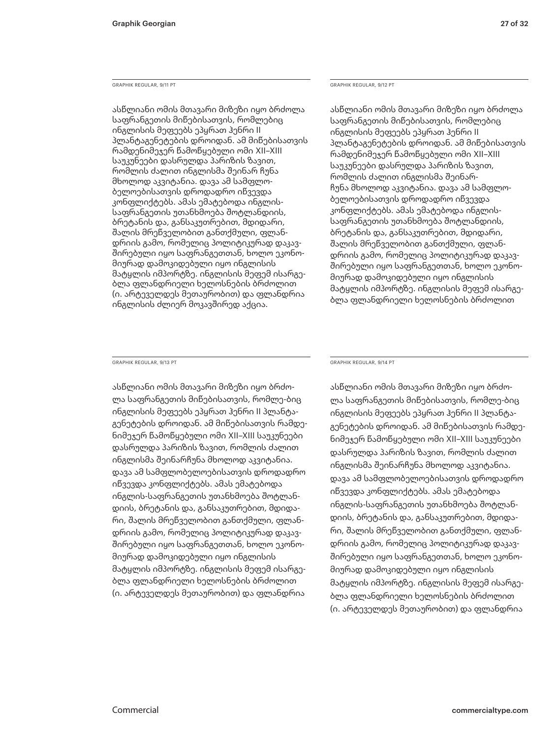GRAPHIK REGULAR, 9/11 PT

ასწლიანი ომის მთავარი მიზეზი იყო ბრძოლა საფრანგეთის მიწებისათვის, რომლებიც ინგლისის მეფეებს ეპყრათ ჰენრი II პლანტაგენეტების დროიდან. ამ მიწებისათვის რამდენიმეჯერ წამოწყებული ომი XII–XIII საუკუნეები დასრულდა პარიზის ზავით, რომლის ძალით ინგლისმა შეინარ ჩუნა მხოლოდ აკვიტანია. დავა ამ სამფლობელოებისათვის დროდადრო იწვევდა კონფლიქტებს. ამას ემატებოდა ინგლისსაფრანგეთის უთანხმოება შოტლანდიის, ბრეტანის და, განსაკუთრებით, მდიდარი, შალის მრეწველობით განთქმული, ფლანდრიის გამო, რომელიც პოლიტიკურად დაკავშირებული იყო საფრანგეთთან, ხოლო ეკონომიურად დამოკიდებული იყო ინგლისის მატყლის იმპორტზე. ინგლისის მეფემ ისარგებლა ფლანდრიელი ხელოსნების ბრძოლით (ი. არტეველდეს მეთაურობით) და ფლანდრია ინგლისის ძლიერ მოკავშირედ აქცია.

GRAPHIK REGULAR, 9/12 PT

ასწლიანი ომის მთავარი მიზეზი იყო ბრძოლა საფრანგეთის მიწებისათვის, რომლებიც ინგლისის მეფეებს ეპყრათ ჰენრი II პლანტაგენეტების დროიდან. ამ მიწებისათვის რამდენიმეჯერ წამოწყებული ომი XII–XIII საუკუნეები დასრულდა პარიზის ზავით, რომლის ძალით ინგლისმა შეინარჩუნა მხოლოდ აკვიტანია. დავა ამ სამფლობელოებისათვის დროდადრო იწვევდა კონფლიქტებს. ამას ემატებოდა ინგლისსაფრანგეთის უთანხმოება შოტლანდიის, ბრეტანის და, განსაკუთრებით, მდიდარი, შალის მრეწველობით განთქმული, ფლანდრიის გამო, რომელიც პოლიტიკურად დაკავშირებული იყო საფრანგეთთან, ხოლო ეკონომიურად დამოკიდებული იყო ინგლისის მატყლის იმპორტზე. ინგლისის მეფემ ისარგებლა ფლანდრიელი ხელოსნების ბრძოლით

GRAPHIK REGULAR, 9/13 PT

ასწლიანი ომის მთავარი მიზეზი იყო ბრძოლა საფრანგეთის მიწებისათვის, რომლე-ბიც ინგლისის მეფეებს ეპყრათ ჰენრი II პლანტაგენეტების დროიდან. ამ მიწებისათვის რამდენიმეჯერ წამოწყებული ომი XII–XIII საუკუნეები დასრულდა პარიზის ზავით, რომლის ძალით ინგლისმა შეინარჩუნა მხოლოდ აკვიტანია. დავა ამ სამფლობელოებისათვის დროდადრო იწვევდა კონფლიქტებს. ამას ემატებოდა ინგლის-საფრანგეთის უთანხმოება შოტლანდიის, ბრეტანის და, განსაკუთრებით, მდიდარი, შალის მრეწველობით განთქმული, ფლანდრიის გამო, რომელიც პოლიტიკურად დაკავშირებული იყო საფრანგეთთან, ხოლო ეკონომიურად დამოკიდებული იყო ინგლისის მატყლის იმპორტზე. ინგლისის მეფემ ისარგებლა ფლანდრიელი ხელოსნების ბრძოლით (ი. არტეველდეს მეთაურობით) და ფლანდრია

GRAPHIK REGULAR, 9/14 PT

ასწლიანი ომის მთავარი მიზეზი იყო ბრძოლა საფრანგეთის მიწებისათვის, რომლე-ბიც ინგლისის მეფეებს ეპყრათ ჰენრი II პლანტაგენეტების დროიდან. ამ მიწებისათვის რამდენიმეჯერ წამოწყებული ომი XII–XIII საუკუნეები დასრულდა პარიზის ზავით, რომლის ძალით ინგლისმა შეინარჩუნა მხოლოდ აკვიტანია. დავა ამ სამფლობელოებისათვის დროდადრო იწვევდა კონფლიქტებს. ამას ემატებოდა ინგლის-საფრანგეთის უთანხმოება შოტლანდიის, ბრეტანის და, განსაკუთრებით, მდიდარი, შალის მრეწველობით განთქმული, ფლანდრიის გამო, რომელიც პოლიტიკურად დაკავშირებული იყო საფრანგეთთან, ხოლო ეკონომიურად დამოკიდებული იყო ინგლისის მატყლის იმპორტზე. ინგლისის მეფემ ისარგებლა ფლანდრიელი ხელოსნების ბრძოლით (ი. არტეველდეს მეთაურობით) და ფლანდრია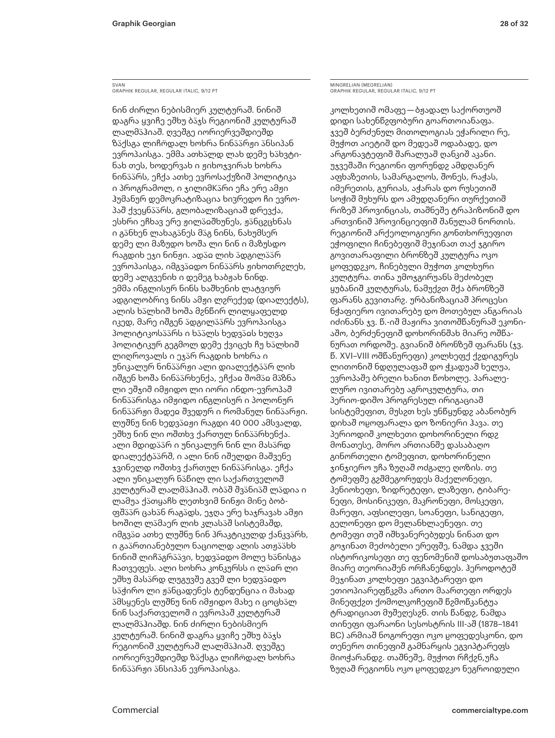### SVAN GRAPHIK REGULAR, REGULAR ITALIC, 9/12 PT

ნინ ძირლი ნებისმიერ კულტურაშ. ნინიშ დაგრა ყვიჩე ეშხუ ბ�ჯს რეგიონიშ კულტურაშ ლალმ�ჰიაშ. ღვეშგე იორიერვეშდიეშდ ზაქსგა ლიჩოდალ ხოხრა ნინპარჟი ანსიპან ევროპაისგა. ემმა ათხალდ ლახ დემე ხახვტინახ თეს, ხოდერვახ ი ჟიხოჯვირახ ხოხრა ნინაარს, ეჩქა ათხე ევროსაქუზიშ პოლიტიკა ი პროგრამოლ, ი ჯილიმKარი ეჩა ერე ამჟი ჰუმანურ დემოკრატიზაცია ხიჳრედო ჩი ევროპაშ ქვეყნაარს, გლობალიზაციაშ დრევქა, ესხრი ეჩხავ ერე ჟილაჲშხუნეს, ჟანცჷცხნას ი განხენ ლახაგანეს მაგ ნინს, ნახუმსერ დემე ლი მაზუდო ხოშა ლი ნინ ი მაზუსდო რაგდიხ ეჯი ნინჟი. ადაჲ ლიხ ადგილაარ ევროპაისგა, იმგვაჲდო ნინაარს ჟიხოთრჷლეხ, დემე ალგვენიხ ი დემეგ ხაბჟახ ნინდ. ემმა ინგლისურ ნინს ხაშხენიხ ლატვიურ ადგილობრივ ნინს ამჟი ლჷრექედ (დიალექტს), ალის ხალხიშ ხოშა მჷნწირ ლილყაფელდ იკედ, მარე იშგენ ადგილაარს ევროპაისგა პოლიტიკოსპპრს ი ხპპლს ხედვაჲს ხუღვა პოლიტიკურ გეგმოლ დემე ქვიცეხ ჩუ ხალხიშ ლიღროვალს ი ეჯ�რ რაგდიხ ხოხრა ი უნიკალურ ნინპპრჟი ალი დიალექტპპრ ლიხ იშგენ ხოშა ნინპპრხენქა, ეჩქაჲ შომპჲ მპზნა ლი ეშჯიშ იმჟიდო ლი იორი ინდო-ევროპაშ ნინაარისგა იმჟიდო ინგლისურ ი პოლონურ ნინაარჟი მადეჲ შვედურ ი რომანულ ნინაარჟი. ლუშნუ ნინ ხედვ�ჲჟი რაგდი 40 000 ამსვალდ, ეშხუ ნინ ლი ოშთხვ ქართულ ნინპპრხენქა. ალი მდიდაარ ი უნიკალურ ნინ ლი მასარდ დიალექტ��რშ, ი ალი ნინ იშელდი მაშვენე ჯვინელდ ოშთხვ ქართულ ნინპპრისგა. ეჩქა ალი უნიკალურ ნ�წილ ლი საქართველოშ კულტურაშ ლალმპჰიაშ. ობპშ შვპნიპშ ლადია ი ლამუა ქათყაჩხ ლეთხვიმ ნინჟი მინე ბობფშაარ ცახან რაგადს, ეჯღა ერე ხაჯრავახ ამჟი ხოშილ ლამაერ ლიხ კლასაშ სისტემაშდ, იმგვაჲ ათხე ლუშნუ ნინ პრაკტიკულდ ქანკვარხ, ი გაპრთიანებულო ნაციოლდ ალის ათჟპპხხ ნინიშ ლიჩპგრპპვი, ხედვპჲდო მოლე ხპნისგა ჩათვეფეს. ალი ხოხრა კონკურსს ი ლაჲრ ლი ეშხუ მასპრდ ლუგუვშე გვეშ ლი ხედვაჲდო ს�ჭირო ლი ჟ�ნცადენეს ტენდენცია ი მახად �მსყენეს ლუშნუ ნინ იმჟიდო მახე ი ცოცხ�ლ ნინ საქართველოშ ი ევროპაშ კულტურაშ ლალმ�ჰიაშდ. ნინ ძირლი ნებისმიერ კულტურაშ. ნინიშ დაგრა ყვიჩე ეშხუ ბაჯს რეგიონიშ კულტურაშ ლალმაჰიაშ. ღვეშგე იორიერვეშდიეშდ ზაქსგა ლიჩოდალ ხოხრა ნინაარჟი ანსიპან ევროპაისგა.

MINGRELIAN (MEGRELIAN) GRAPHIK REGULAR, REGULAR ITALIC, 9/12 PT

კოლხეთიშ ომაფე — ბჟადალ საქორთუოშ დიდი სახენწჷფობური გოართოიანაფა. ჯვეშ ბერძენულ მითოლოგიას ეჭარილი რე, მუჭოთ აიეტიშ დო მედეაშ ოდაბადე, დო არგონავტეფიშ შარალუაშ ღანკიშ აკანი. უჯვეშაში რეგიონი ფორუნდჷ ამდღანერ აფხაზეთის, სამარგალოს, შონეს, რაჭას, იმერეთის, გურიას, აჭარას დო რუსეთიშ სოჭიშ მუხურს დო ამუდღანერი თურქეთიშ რიზეშ პროვინციას, თაშნეშე ტრაპიზონიშ დო ართვინიშ პროვინციეფიშ შანულამ ნორთის. რეგიონიშ არქეოლოგიური გონთხორუეფით ეჭოფილი ჩინებეფიშ მეჯინათ თაქ ჯგირო გოვითარაფილი ბრონზეშ კულტურა ოკო ჸოფედჷკო, ჩინებული მუჭოთ კოლხური კულტურა. თინა უმოჯგირუანს მეძობელ ყუბანიშ კულტურას, ნამუქჷთ შქა ბრონზეშ ფარანს გევითარჷ. ურბანიზაციაშ პროცესი ნჭაფიერო ივითარებუ დო მოთებულ ანგარიას იძინანს ჯვ. წ.-იშ მაჟირა ვითოშწანურაშ ეკონიაშო, ბერძენეფიშ დოხორინშახ მიარე ოშწანურათ ორდოშე. გვიანიშ ბრონზეშ ფარანს (ჯვ. წ. XVI–VIII ოშწანურეფი) კოლხეფქ ქჷდიგურეს ლითონიშ ნდღულაფაშ დო ჭკადუაშ ხელუა, ევროპაშე ბრელი ხანით წოხოლე. პარალელურო ივითარებუ აგროკულტურა, თი პერიო-დიშო პროგრესულ ირიგაციაშ სისტემეფით, მუსჷთ ხეს უნწყუნდჷ აბანობურ დიხაშ ოჸოფარალა დო ზონიერი ჰავა. თე პერიოდიშ კოლხეთი დოხორინელი რდჷ მონათესე, მორო ართიანშე დასაბაღო გინორთელი ტომეფით, დოხორინელი ჯინჯიერო უჩა ზუღაშ ოძგალე ღოზის. თე ტომეფშე გჷშმეგორუდეს მაქელონეფი, ჰენიოხეფი, ზიდრეტეფი, ლაზეფი, ტიბარენეფი, მოსინიკეფი, მაკრონეფი, მოსკეფი, მარეფი, აფსილეფი, სოანეფი, სანიგეფი, გელონეფი დო მელანხლაენეფი. თე ტომეფი თეშ იშხვანერებუდეს ნინათ დო გოჯინათ მეძობელი ერეფშე, ნამდა ჯვეში ისტორიკოსეფი თე ფენომენიშ დოსაბუთაფაშო მიარე თეორიაშენ ორჩანენდეს. ჰეროდოტეშ მეჯინათ კოლხეფი ეგვიპტარეფი დო ეთიოპიარეფწკჷმა ართო მაართეფი ორდეს მინეფქჷთ ქომოლკოჩეფიშ წჷმოწკანტუა ტრადიციათ მუშეღესჷნ. თის წანდჷ, ნამდა თინეფი ფარაონი სესოსტრის III-აშ (1878–1841 BC) არმიაშ ნოგორეფი ოკო ჸოფედესკონი, დო თენერო თინეფიშ გამნარყის ეგვიპტარეფს მიოჭარანდჷ. თაშნეშე, მუჭოთ რჩქჷნ,უჩა ზუღაშ რეგიონს ოკო ჸოფედჷკო ნეგროიდული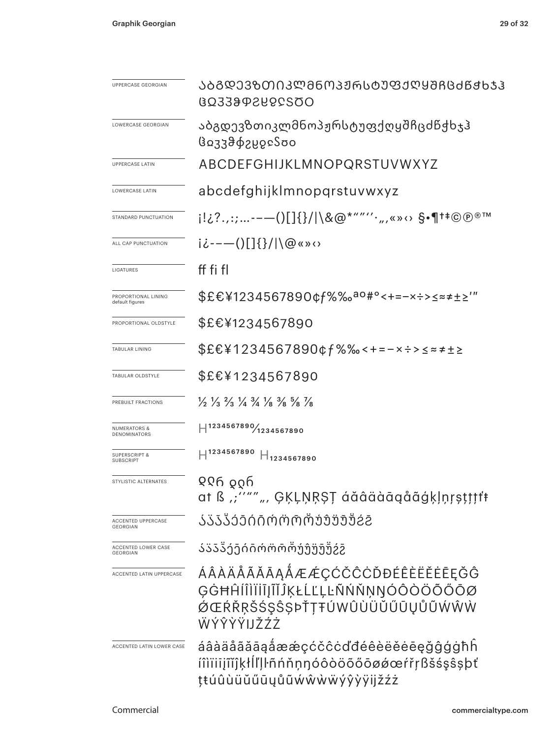| UPPERCASE GEORGIAN                           | ᲐᲑᲒᲓᲔᲕᲖᲗᲘᲙᲚᲛᲜᲝᲞᲟᲠᲡᲢᲣᲤᲥᲦᲧᲨᲩᲪᲫᲬᲭᲮᲯᲰ<br>0023992882508                                                                            |  |  |  |  |
|----------------------------------------------|-------------------------------------------------------------------------------------------------------------------------------|--|--|--|--|
| LOWERCASE GEORGIAN                           | აბგდევზთიკლმნოპჟრსტუფქღყშჩცძწქხჯჰ<br>βο33θφεμοεδοο                                                                            |  |  |  |  |
| <b>UPPERCASE LATIN</b>                       | ABCDEFGHIJKLMNOPQRSTUVWXYZ                                                                                                    |  |  |  |  |
| <b>LOWERCASE LATIN</b>                       | abcdefghijklmnopgrstuvwxyz                                                                                                    |  |  |  |  |
| STANDARD PUNCTUATION                         | i!¿?.,:;--—()[]{}/ \&@*""′′·",«»↔ §•¶†‡©®®™                                                                                   |  |  |  |  |
| ALL CAP PUNCTUATION                          | $i\dot{\iota}$ ---()[]{}/ \@«»<>                                                                                              |  |  |  |  |
| LIGATURES                                    | ff fi fl                                                                                                                      |  |  |  |  |
| PROPORTIONAL LINING<br>default figures       | \$£€¥1234567890¢f%‰ <sup>ao#</sup> °<+=-×÷>≤≈≠±≥'"                                                                            |  |  |  |  |
| PROPORTIONAL OLDSTYLE                        | \$£€¥1234567890                                                                                                               |  |  |  |  |
| TABULAR LINING                               | \$£€¥1234567890¢f%‰<+=-×÷>≤≈≠±≥                                                                                               |  |  |  |  |
| TABULAR OLDSTYLE                             | \$£€¥1234567890                                                                                                               |  |  |  |  |
| PREBUILT FRACTIONS                           | $\frac{1}{2}$ $\frac{1}{3}$ $\frac{2}{3}$ $\frac{1}{4}$ $\frac{3}{4}$ $\frac{1}{8}$ $\frac{3}{8}$ $\frac{5}{8}$ $\frac{1}{8}$ |  |  |  |  |
| <b>NUMERATORS &amp;</b><br>DENOMINATORS      | $ $ 1234567890 $/$ 1234567890                                                                                                 |  |  |  |  |
| <b>SUPERSCRIPT &amp;</b><br>SUBSCRIPT        | $H^{1234567890}$<br>$H_{1234567890}$                                                                                          |  |  |  |  |
| STYLISTIC ALTERNATES                         | <u>୧୧ନ ତୃ</u> ତ୍ମ<br>at ß "''"" ", ĢĶĻŅŖŞŢ áăâäàāqåãģķļņŗşţţţţŧ                                                               |  |  |  |  |
| <b>ACCENTED UPPERCASE</b><br><b>GEORGIAN</b> | ᲐᲐᲐᲐᲐᲔᲘᲘᲝᲝᲝᲝᲣᲣᲣᲣᲨჇჇ                                                                                                           |  |  |  |  |
| ACCENTED LOWER CASE<br><b>GEORGIAN</b>       | ააააეეიიოოორუუუუუგ                                                                                                            |  |  |  |  |
| ACCENTED LATIN UPPERCASE                     | ÁÂÀÄÅÃĂĀĄÅÆÆÇĆČĈĊĎĐÉÊÈËĔĒĒĢĜ<br>ĢĠĦĤĺÎÌĬĬĬJĨĬĴĶŁĹĽĻĿÑŃŇŅŊÓÔŎÖŐŐŌØ<br>ØŒŔŘŖŠŚŞŜŞÞŤŢŦÚWÛÙÜŬŰŪŲŮŨŴŴŴ<br>ŴÝŶŶŸIJŽŹŻ               |  |  |  |  |
| ACCENTED LATIN LOWER CASE                    | áâàäåãăāąåææçćčĉċďđéêèëĕėēęǧĝģġħĥ<br>íîìïiiįĩĭĵķłĺľļŀñńňņŋóôòöõőōøǿœŕřŗßšśşŝşþť<br>ţŧúûùüŭűūųůũẃŵẁẅýŷỳÿijžźż                  |  |  |  |  |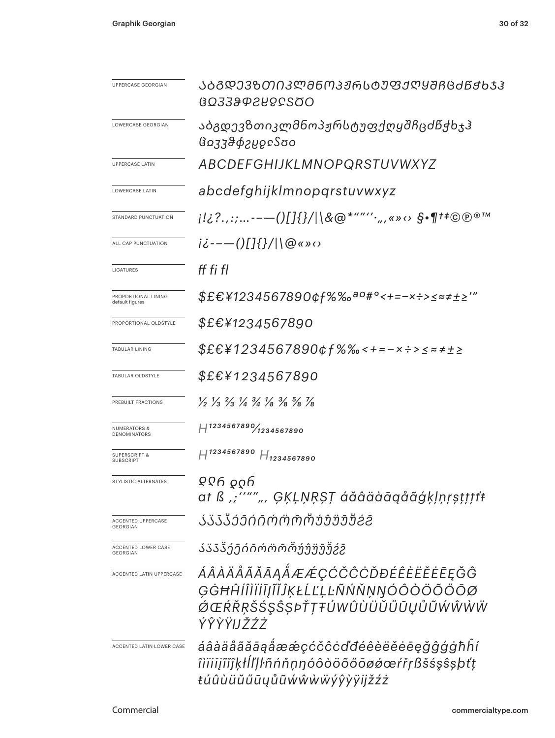| UPPERCASE GEORGIAN                           | ᲐᲑᲒᲓᲔᲕᲖᲗᲘᲙᲚᲛᲜᲝᲞᲟᲠᲡᲢᲣᲤᲥᲦᲧᲨᲩᲪᲫᲬᲥᲮᲯᲰ<br>GO33&PSYSCSOO                                                                            |  |  |  |  |  |
|----------------------------------------------|-------------------------------------------------------------------------------------------------------------------------------|--|--|--|--|--|
| LOWERCASE GEORGIAN                           | აბგდევზთიკლმნოპჟრსტუფქღყშჩცძწქხჯჰ<br>βσ33θφδήδεδοο                                                                            |  |  |  |  |  |
| <b>UPPERCASE LATIN</b>                       | ABCDEFGHIJKLMNOPQRSTUVWXYZ                                                                                                    |  |  |  |  |  |
| LOWERCASE LATIN                              | abcdefghijklmnopqrstuvwxyz                                                                                                    |  |  |  |  |  |
| STANDARD PUNCTUATION                         | j!¿?.,:;--—()[]{}/ \&@*""''·",«»⇔ §•¶†‡©℗®™                                                                                   |  |  |  |  |  |
| ALL CAP PUNCTUATION                          | $i\dot{\zeta}$ ---()[]{}/ \@«»<>                                                                                              |  |  |  |  |  |
| LIGATURES                                    | ff fi fl                                                                                                                      |  |  |  |  |  |
| PROPORTIONAL LINING<br>default figures       | \$£€¥1234567890¢f%‰ <sup>ao#</sup> °<+=-×÷>≤≈≠±≥′″                                                                            |  |  |  |  |  |
| PROPORTIONAL OLDSTYLE                        | <i>\$£€¥1234567890</i>                                                                                                        |  |  |  |  |  |
| TABULAR LINING                               | \$£€¥1234567890¢f%‰<+=-×÷>≤≈≠±≥                                                                                               |  |  |  |  |  |
| TABULAR OLDSTYLE                             | <i>\$£€¥1234567890</i>                                                                                                        |  |  |  |  |  |
| PREBUILT FRACTIONS                           | $\frac{1}{2}$ $\frac{1}{3}$ $\frac{2}{3}$ $\frac{1}{4}$ $\frac{3}{4}$ $\frac{1}{8}$ $\frac{3}{8}$ $\frac{5}{8}$ $\frac{7}{8}$ |  |  |  |  |  |
| <b>NUMERATORS &amp;</b><br>DENOMINATORS      | $H^{1234567890}$ 1234567890                                                                                                   |  |  |  |  |  |
| <b>SUPERSCRIPT &amp;</b><br><b>SUBSCRIPT</b> | $H^{1234567890}$ $H_{1234567890}$                                                                                             |  |  |  |  |  |
| STYLISTIC ALTERNATES                         | ୧୧ନ <sub>୧</sub> ୦ନ<br>at ß ,;''""", ĢĶĻŅŖŞŢ áăâäàāqåãģķļņŗṣṭṭṭt                                                              |  |  |  |  |  |
| ACCENTED UPPERCASE<br><b>GEORGIAN</b>        | ᲐᲞᲐᲯᲔᲔᲘᲘᲝᲝᲝᲝᲣᲔᲣᲣᲣᲒᲛ                                                                                                           |  |  |  |  |  |
| ACCENTED LOWER CASE<br><b>GEORGIAN</b>       | აააპეეიიოოოოუუუუშჷჷ                                                                                                           |  |  |  |  |  |
| ACCENTED LATIN UPPERCASE                     | ÁÂÀÄÅÃĂĀĄÅÆÆÇĆČĈĊĎĐÉÊÈËĔĒĘĞĜ<br>ĢĠĦĤĺÎÌÏĬĪĮĨĬĴĶŁĹĽĻĿÑŃŇŅŊÓÔÒÖÕŐŌØ<br><i>ÓŒŔŘŖŠŚŞŜŞÞŤŢŦÚWÛÙÜŬŰŨŲŮŨŴŴŴŴ</i><br>ÝŶŶŸIJŽŹŻ        |  |  |  |  |  |
| ACCENTED LATIN LOWER CASE                    | áâàäåãããąåææçćčĉċďđéêèëĕēe@ğĝģġħĥí<br>îìïiiįĩĭĵķłĺľļŀñńňṇŋóôòöõőōøǿœŕřṛßšśşŝşþťṭ<br>ŧúûùüŭűūyůũẃŵẁẅýŷỳÿijžźż                  |  |  |  |  |  |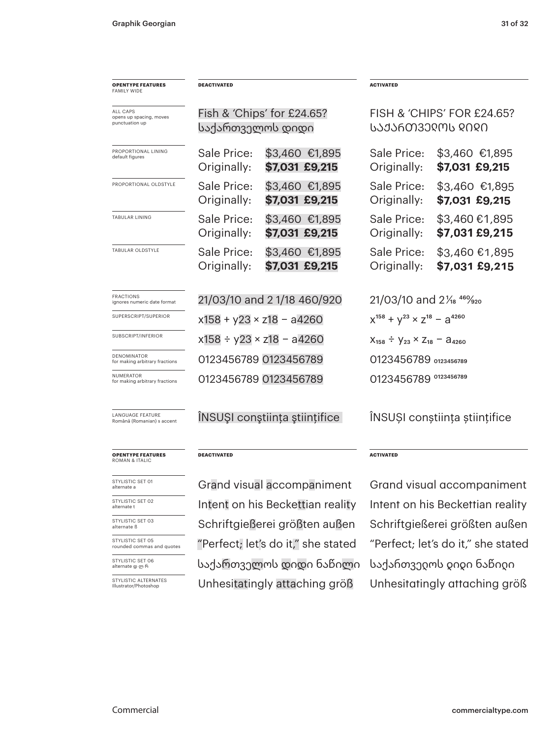| <b>OPENTYPE FEATURES</b><br><b>FAMILY WIDE</b>        | <b>DEACTIVATED</b>                 |                                    | <b>ACTIVATED</b>                                |                            |  |
|-------------------------------------------------------|------------------------------------|------------------------------------|-------------------------------------------------|----------------------------|--|
| ALL CAPS<br>opens up spacing, moves<br>punctuation up |                                    | Fish & 'Chips' for $£24.65$ ?      |                                                 | FISH & 'CHIPS' FOR £24.65? |  |
|                                                       | საქართველოს დიდი                   |                                    | ᲡᲐᲥᲐᲠᲗᲕᲔᲦᲝᲡ ᲓᲘᲓᲘ                                |                            |  |
| PROPORTIONAL LINING<br>default figures                | Sale Price:                        | \$3,460 €1,895                     | Sale Price:                                     | \$3,460 €1,895             |  |
|                                                       | Originally:                        | \$7,031 £9,215                     | Originally:                                     | \$7,031 £9,215             |  |
| PROPORTIONAL OLDSTYLE                                 | Sale Price:                        | \$3,460 €1,895                     | Sale Price:                                     | \$3,460 €1,895             |  |
|                                                       | Originally:                        | \$7,031 £9,215                     | Originally:                                     | \$7,031 £9,215             |  |
| TABULAR LINING                                        | Sale Price:                        | \$3,460 €1,895                     | Sale Price:                                     | \$3,460 €1,895             |  |
|                                                       | Originally:                        | \$7,031 £9,215                     | Originally:                                     | \$7,031 £9,215             |  |
| TABULAR OLDSTYLE                                      | Sale Price:                        | \$3,460 €1,895                     | Sale Price:                                     | \$3,460 €1,895             |  |
|                                                       | Originally:                        | \$7,031 £9,215                     | Originally:                                     | \$7,031 £9,215             |  |
| FRACTIONS<br>ignores numeric date format              | 21/03/10 and 21/18 460/920         |                                    | 21/03/10 and 21/ <sub>8</sub> 46% <sub>20</sub> |                            |  |
| SUPERSCRIPT/SUPERIOR                                  | $x158 + y23 \times z18 - a4260$    |                                    | $X^{158} + Y^{23} \times Z^{18} - 3^{4260}$     |                            |  |
| SUBSCRIPT/INFERIOR                                    | $x158 \div y23 \times z18 - a4260$ |                                    | $X_{158} \div Y_{23} \times Z_{18} - A_{4260}$  |                            |  |
| DENOMINATOR<br>for making arbitrary fractions         |                                    | 0123456789 0123456789              |                                                 | 0123456789 0123456789      |  |
| NUMERATOR<br>for making arbitrary fractions           |                                    | 0123456789 0123456789              | 0123456789 0123456789                           |                            |  |
| LANGUAGE FEATURE<br>Română (Romanian) s accent        |                                    | INSUȘI conștiința științifice      | ÎNSUȘI conștiința științifice                   |                            |  |
| <b>OPENTYPE FEATURES</b><br>ROMAN & ITALIC            | <b>DEACTIVATED</b>                 |                                    | <b>ACTIVATED</b>                                |                            |  |
| STYLISTIC SET 01<br>alternate a                       |                                    | Grand visual accompaniment         | Grand visual accompaniment                      |                            |  |
| STYLISTIC SET 02<br>alternate t                       |                                    | Intent on his Beckettian reality   | Intent on his Beckettian reality                |                            |  |
| STYLISTIC SET 03<br>alternate ß                       |                                    | Schriftgießerei größten außen      | Schriftgießerei größten außen                   |                            |  |
| STYLISTIC SET 05<br>rounded commas and quotes         |                                    | "Perfect; let's do it," she stated | "Perfect; let's do it," she stated              |                            |  |
| STYLISTIC SET 06<br>alternate დ ლ რ                   |                                    | საქართველოს დიდი ნაწილი            | საქართვედოს დიდი ნაწიდი                         |                            |  |
| STYLISTIC ALTERNATES<br>Illustrator/Photoshop         |                                    | Unhesitatingly attaching größ      | Unhesitatingly attaching größ                   |                            |  |